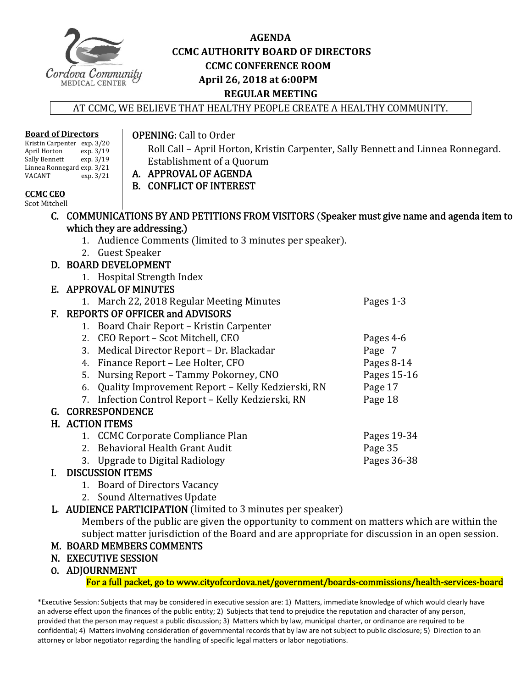

#### **AGENDA CCMC AUTHORITY BOARD OF DIRECTORS CCMC CONFERENCE ROOM April 26, 2018 at 6:00PM REGULAR MEETING**

AT CCMC, WE BELIEVE THAT HEALTHY PEOPLE CREATE A HEALTHY COMMUNITY.

#### Kristin Carpenter exp. 3/20<br>April Horton exp. 3/19 April Horton exp. 3/19<br>Sally Bennett exp. 3/19 Sally Bennett Linnea Ronnegard exp. 3/21<br>VACANT exp. 3/21  $\exp.3/21$ **CCMC CEO**  Establishment of a Quorum A. APPROVAL OF AGENDA B. CONFLICT OF INTEREST C. COMMUNICATIONS BY AND PETITIONS FROM VISITORS (Speaker must give name and agenda item to which they are addressing.) 1. Audience Comments (limited to 3 minutes per speaker). 2. Guest Speaker D. BOARD DEVELOPMENT 1. Hospital Strength Index E. APPROVAL OF MINUTES 1. March 22, 2018 Regular Meeting Minutes Pages 1-3 F. REPORTS OF OFFICER and ADVISORS 1. Board Chair Report – Kristin Carpenter<br>2. CEO Report – Scot Mitchell, CEO<br>Pages 4-6 2. CEO Report – Scot Mitchell, CEO Pages 4‐6 3. Medical Director Report – Dr. Blackadar Page 7 4. Finance Report – Lee Holter, CFO<br>
5. Nursing Report – Tammy Pokorney, CNO<br>
Pages 15-16 5. Nursing Report – Tammy Pokorney, CNO<br>
6. Ouality Improvement Report – Kelly Kedzierski, RN Page 17 6. Quality Improvement Report – Kelly Kedzierski, RN Page 17<br>7. Infection Control Report – Kelly Kedzierski, RN Page 18 7. Infection Control Report - Kelly Kedzierski, RN G. CORRESPONDENCE H. ACTION ITEMS 1. CCMC Corporate Compliance Plan Pages 19-34<br>
2. Behavioral Health Grant Audit Page 35 2. Behavioral Health Grant Audit<br>
3. Upgrade to Digital Radiology<br>
2. Pages 36-38 3. Upgrade to Digital Radiology I. DISCUSSION ITEMS 1. Board of Directors Vacancy 2. Sound Alternatives Update

L. AUDIENCE PARTICIPATION (limited to 3 minutes per speaker) Members of the public are given the opportunity to comment on matters which are within the

subject matter jurisdiction of the Board and are appropriate for discussion in an open session.

#### M. BOARD MEMBERS COMMENTS

- N. EXECUTIVE SESSION
- O. ADJOURNMENT

For a full packet, go to www.cityofcordova.net/government/boards-commissions/health-services-board

\*Executive Session: Subjects that may be considered in executive session are: 1) Matters, immediate knowledge of which would clearly have an adverse effect upon the finances of the public entity; 2) Subjects that tend to prejudice the reputation and character of any person, provided that the person may request a public discussion; 3) Matters which by law, municipal charter, or ordinance are required to be confidential; 4) Matters involving consideration of governmental records that by law are not subject to public disclosure; 5) Direction to an attorney or labor negotiator regarding the handling of specific legal matters or labor negotiations.

#### **OPENING:** Call to Order

Roll Call – April Horton, Kristin Carpenter, Sally Bennett and Linnea Ronnegard.

Scot Mitchell

**Board of Directors**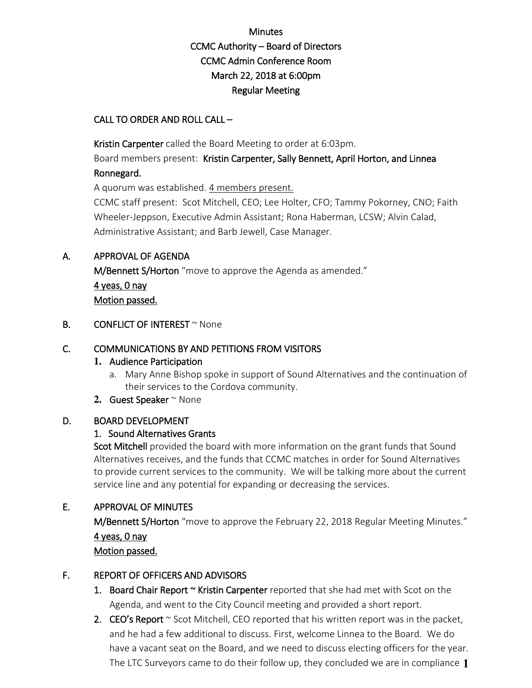### Minutes CCMC Authority – Board of Directors CCMC Admin Conference Room March 22, 2018 at 6:00pm Regular Meeting

#### CALL TO ORDER AND ROLL CALL –

Kristin Carpenter called the Board Meeting to order at 6:03pm.

Board members present: Kristin Carpenter, Sally Bennett, April Horton, and Linnea Ronnegard.

A quorum was established. 4 members present.

CCMC staff present: Scot Mitchell, CEO; Lee Holter, CFO; Tammy Pokorney, CNO; Faith Wheeler-Jeppson, Executive Admin Assistant; Rona Haberman, LCSW; Alvin Calad, Administrative Assistant; and Barb Jewell, Case Manager.

#### A. APPROVAL OF AGENDA

M/Bennett S/Horton "move to approve the Agenda as amended." 4 yeas, 0 nay Motion passed.

#### **B.** CONFLICT OF INTEREST  $\sim$  None

#### C. COMMUNICATIONS BY AND PETITIONS FROM VISITORS

#### **1.** Audience Participation

a. Mary Anne Bishop spoke in support of Sound Alternatives and the continuation of their services to the Cordova community.

#### 2. Guest Speaker ~ None

#### D. BOARD DEVELOPMENT

#### 1. Sound Alternatives Grants

Scot Mitchell provided the board with more information on the grant funds that Sound Alternatives receives, and the funds that CCMC matches in order for Sound Alternatives to provide current services to the community. We will be talking more about the current service line and any potential for expanding or decreasing the services.

#### E. APPROVAL OF MINUTES

M/Bennett S/Horton "move to approve the February 22, 2018 Regular Meeting Minutes." 4 yeas, 0 nay Motion passed.

#### F. REPORT OF OFFICERS AND ADVISORS

- 1. Board Chair Report  $\sim$  Kristin Carpenter reported that she had met with Scot on the Agenda, and went to the City Council meeting and provided a short report.
- 2. CEO's Report  $\sim$  Scot Mitchell, CEO reported that his written report was in the packet, and he had a few additional to discuss. First, welcome Linnea to the Board. We do have a vacant seat on the Board, and we need to discuss electing officers for the year. The LTC Surveyors came to do their follow up, they concluded we are in compliance **1**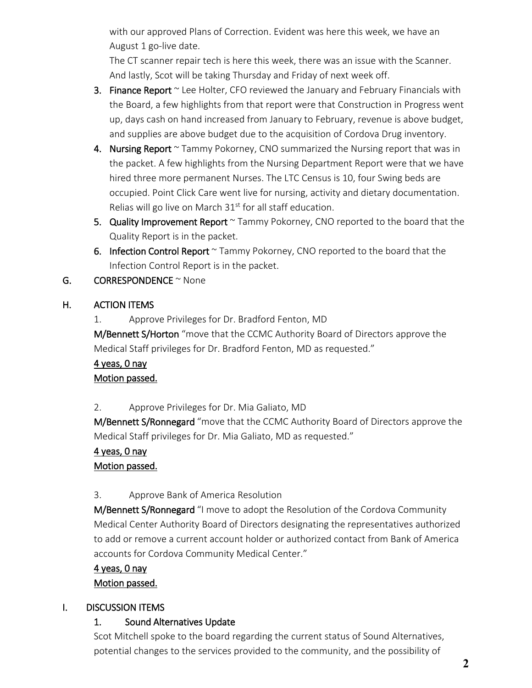with our approved Plans of Correction. Evident was here this week, we have an August 1 go-live date.

The CT scanner repair tech is here this week, there was an issue with the Scanner. And lastly, Scot will be taking Thursday and Friday of next week off.

- 3. Finance Report  $\sim$  Lee Holter, CFO reviewed the January and February Financials with the Board, a few highlights from that report were that Construction in Progress went up, days cash on hand increased from January to February, revenue is above budget, and supplies are above budget due to the acquisition of Cordova Drug inventory.
- 4. Nursing Report  $\sim$  Tammy Pokorney, CNO summarized the Nursing report that was in the packet. A few highlights from the Nursing Department Report were that we have hired three more permanent Nurses. The LTC Census is 10, four Swing beds are occupied. Point Click Care went live for nursing, activity and dietary documentation. Relias will go live on March 31<sup>st</sup> for all staff education.
- 5. Quality Improvement Report ~ Tammy Pokorney, CNO reported to the board that the Quality Report is in the packet.
- 6. Infection Control Report ~ Tammy Pokorney, CNO reported to the board that the Infection Control Report is in the packet.
- G. **CORRESPONDENCE**  $\sim$  None

#### H. ACTION ITEMS

1. Approve Privileges for Dr. Bradford Fenton, MD M/Bennett S/Horton "move that the CCMC Authority Board of Directors approve the Medical Staff privileges for Dr. Bradford Fenton, MD as requested."

#### 4 yeas, 0 nay Motion passed.

2. Approve Privileges for Dr. Mia Galiato, MD

M/Bennett S/Ronnegard "move that the CCMC Authority Board of Directors approve the Medical Staff privileges for Dr. Mia Galiato, MD as requested."

### 4 yeas, 0 nay

### Motion passed.

#### 3. Approve Bank of America Resolution

M/Bennett S/Ronnegard "I move to adopt the Resolution of the Cordova Community Medical Center Authority Board of Directors designating the representatives authorized to add or remove a current account holder or authorized contact from Bank of America accounts for Cordova Community Medical Center."

#### 4 yeas, 0 nay

#### Motion passed.

### I. DISCUSSION ITEMS

### 1. Sound Alternatives Update

Scot Mitchell spoke to the board regarding the current status of Sound Alternatives, potential changes to the services provided to the community, and the possibility of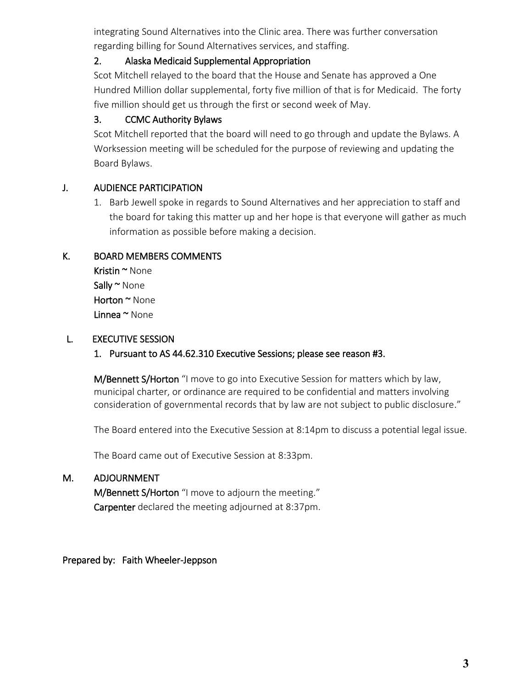integrating Sound Alternatives into the Clinic area. There was further conversation regarding billing for Sound Alternatives services, and staffing.

#### 2. Alaska Medicaid Supplemental Appropriation

Scot Mitchell relayed to the board that the House and Senate has approved a One Hundred Million dollar supplemental, forty five million of that is for Medicaid. The forty five million should get us through the first or second week of May.

#### 3. CCMC Authority Bylaws

Scot Mitchell reported that the board will need to go through and update the Bylaws. A Worksession meeting will be scheduled for the purpose of reviewing and updating the Board Bylaws.

#### J. AUDIENCE PARTICIPATION

1. Barb Jewell spoke in regards to Sound Alternatives and her appreciation to staff and the board for taking this matter up and her hope is that everyone will gather as much information as possible before making a decision.

#### K. BOARD MEMBERS COMMENTS

Kristin ~ None Sally ~ None Horton ~ None Linnea ~ None

#### L. EXECUTIVE SESSION

1. Pursuant to AS 44.62.310 Executive Sessions; please see reason #3.

M/Bennett S/Horton "I move to go into Executive Session for matters which by law, municipal charter, or ordinance are required to be confidential and matters involving consideration of governmental records that by law are not subject to public disclosure."

The Board entered into the Executive Session at 8:14pm to discuss a potential legal issue.

The Board came out of Executive Session at 8:33pm.

#### M. ADJOURNMENT

M/Bennett S/Horton "I move to adjourn the meeting." Carpenter declared the meeting adjourned at 8:37pm.

Prepared by: Faith Wheeler-Jeppson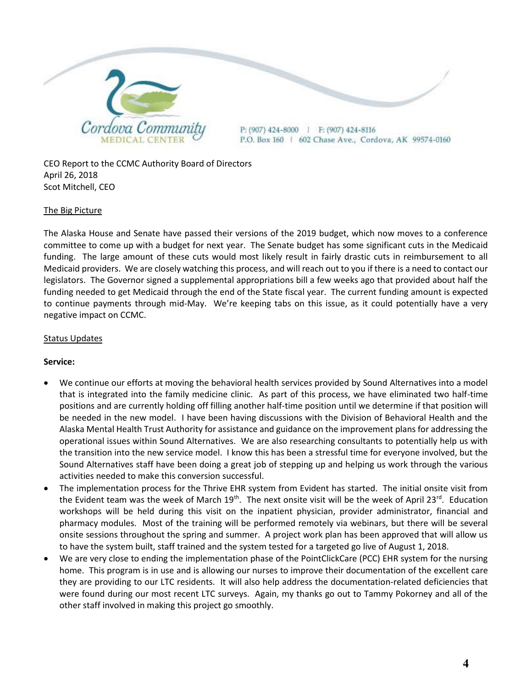

CEO Report to the CCMC Authority Board of Directors April 26, 2018 Scot Mitchell, CEO

#### The Big Picture

The Alaska House and Senate have passed their versions of the 2019 budget, which now moves to a conference committee to come up with a budget for next year. The Senate budget has some significant cuts in the Medicaid funding. The large amount of these cuts would most likely result in fairly drastic cuts in reimbursement to all Medicaid providers. We are closely watching this process, and will reach out to you if there is a need to contact our legislators. The Governor signed a supplemental appropriations bill a few weeks ago that provided about half the funding needed to get Medicaid through the end of the State fiscal year. The current funding amount is expected to continue payments through mid-May. We're keeping tabs on this issue, as it could potentially have a very negative impact on CCMC.

#### Status Updates

#### **Service:**

- We continue our efforts at moving the behavioral health services provided by Sound Alternatives into a model that is integrated into the family medicine clinic. As part of this process, we have eliminated two half-time positions and are currently holding off filling another half-time position until we determine if that position will be needed in the new model. I have been having discussions with the Division of Behavioral Health and the Alaska Mental Health Trust Authority for assistance and guidance on the improvement plans for addressing the operational issues within Sound Alternatives. We are also researching consultants to potentially help us with the transition into the new service model. I know this has been a stressful time for everyone involved, but the Sound Alternatives staff have been doing a great job of stepping up and helping us work through the various activities needed to make this conversion successful.
- The implementation process for the Thrive EHR system from Evident has started. The initial onsite visit from the Evident team was the week of March 19<sup>th</sup>. The next onsite visit will be the week of April 23<sup>rd</sup>. Education workshops will be held during this visit on the inpatient physician, provider administrator, financial and pharmacy modules. Most of the training will be performed remotely via webinars, but there will be several onsite sessions throughout the spring and summer. A project work plan has been approved that will allow us to have the system built, staff trained and the system tested for a targeted go live of August 1, 2018.
- We are very close to ending the implementation phase of the PointClickCare (PCC) EHR system for the nursing home. This program is in use and is allowing our nurses to improve their documentation of the excellent care they are providing to our LTC residents. It will also help address the documentation-related deficiencies that were found during our most recent LTC surveys. Again, my thanks go out to Tammy Pokorney and all of the other staff involved in making this project go smoothly.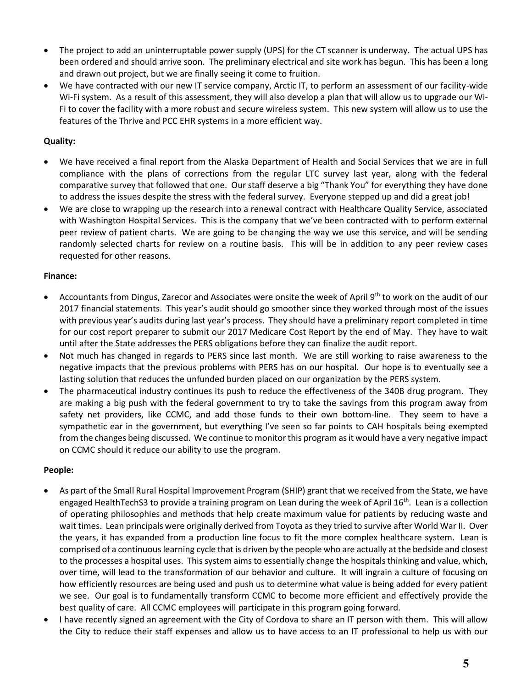- The project to add an uninterruptable power supply (UPS) for the CT scanner is underway. The actual UPS has been ordered and should arrive soon. The preliminary electrical and site work has begun. This has been a long and drawn out project, but we are finally seeing it come to fruition.
- We have contracted with our new IT service company, Arctic IT, to perform an assessment of our facility-wide Wi-Fi system. As a result of this assessment, they will also develop a plan that will allow us to upgrade our Wi-Fi to cover the facility with a more robust and secure wireless system. This new system will allow us to use the features of the Thrive and PCC EHR systems in a more efficient way.

#### **Quality:**

- We have received a final report from the Alaska Department of Health and Social Services that we are in full compliance with the plans of corrections from the regular LTC survey last year, along with the federal comparative survey that followed that one. Our staff deserve a big "Thank You" for everything they have done to address the issues despite the stress with the federal survey. Everyone stepped up and did a great job!
- We are close to wrapping up the research into a renewal contract with Healthcare Quality Service, associated with Washington Hospital Services. This is the company that we've been contracted with to perform external peer review of patient charts. We are going to be changing the way we use this service, and will be sending randomly selected charts for review on a routine basis. This will be in addition to any peer review cases requested for other reasons.

#### **Finance:**

- Accountants from Dingus, Zarecor and Associates were onsite the week of April 9<sup>th</sup> to work on the audit of our 2017 financial statements. This year's audit should go smoother since they worked through most of the issues with previous year's audits during last year's process. They should have a preliminary report completed in time for our cost report preparer to submit our 2017 Medicare Cost Report by the end of May. They have to wait until after the State addresses the PERS obligations before they can finalize the audit report.
- Not much has changed in regards to PERS since last month. We are still working to raise awareness to the negative impacts that the previous problems with PERS has on our hospital. Our hope is to eventually see a lasting solution that reduces the unfunded burden placed on our organization by the PERS system.
- The pharmaceutical industry continues its push to reduce the effectiveness of the 340B drug program. They are making a big push with the federal government to try to take the savings from this program away from safety net providers, like CCMC, and add those funds to their own bottom-line. They seem to have a sympathetic ear in the government, but everything I've seen so far points to CAH hospitals being exempted from the changes being discussed. We continue to monitor this program as it would have a very negative impact on CCMC should it reduce our ability to use the program.

#### **People:**

- As part of the Small Rural Hospital Improvement Program (SHIP) grant that we received from the State, we have engaged HealthTechS3 to provide a training program on Lean during the week of April  $16<sup>th</sup>$ . Lean is a collection of operating philosophies and methods that help create maximum value for patients by reducing waste and wait times. Lean principals were originally derived from Toyota as they tried to survive after World War II. Over the years, it has expanded from a production line focus to fit the more complex healthcare system. Lean is comprised of a continuous learning cycle that is driven by the people who are actually at the bedside and closest to the processes a hospital uses. This system aims to essentially change the hospitals thinking and value, which, over time, will lead to the transformation of our behavior and culture. It will ingrain a culture of focusing on how efficiently resources are being used and push us to determine what value is being added for every patient we see. Our goal is to fundamentally transform CCMC to become more efficient and effectively provide the best quality of care. All CCMC employees will participate in this program going forward.
- I have recently signed an agreement with the City of Cordova to share an IT person with them. This will allow the City to reduce their staff expenses and allow us to have access to an IT professional to help us with our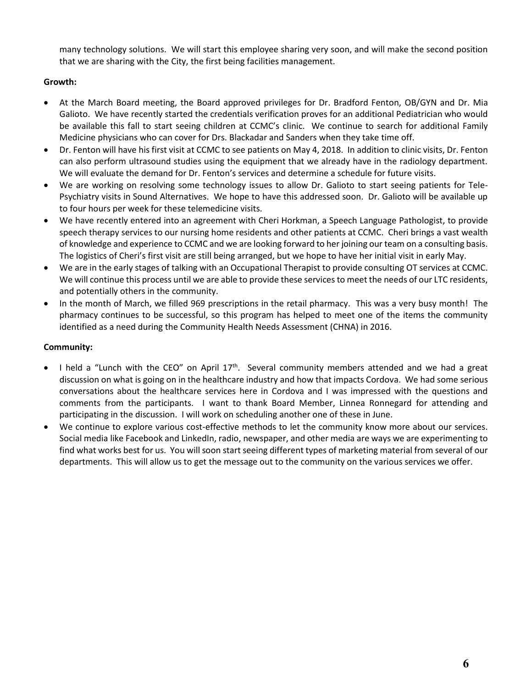many technology solutions. We will start this employee sharing very soon, and will make the second position that we are sharing with the City, the first being facilities management.

#### **Growth:**

- At the March Board meeting, the Board approved privileges for Dr. Bradford Fenton, OB/GYN and Dr. Mia Galioto. We have recently started the credentials verification proves for an additional Pediatrician who would be available this fall to start seeing children at CCMC's clinic. We continue to search for additional Family Medicine physicians who can cover for Drs. Blackadar and Sanders when they take time off.
- Dr. Fenton will have his first visit at CCMC to see patients on May 4, 2018. In addition to clinic visits, Dr. Fenton can also perform ultrasound studies using the equipment that we already have in the radiology department. We will evaluate the demand for Dr. Fenton's services and determine a schedule for future visits.
- We are working on resolving some technology issues to allow Dr. Galioto to start seeing patients for Tele-Psychiatry visits in Sound Alternatives. We hope to have this addressed soon. Dr. Galioto will be available up to four hours per week for these telemedicine visits.
- We have recently entered into an agreement with Cheri Horkman, a Speech Language Pathologist, to provide speech therapy services to our nursing home residents and other patients at CCMC. Cheri brings a vast wealth of knowledge and experience to CCMC and we are looking forward to her joining our team on a consulting basis. The logistics of Cheri's first visit are still being arranged, but we hope to have her initial visit in early May.
- We are in the early stages of talking with an Occupational Therapist to provide consulting OT services at CCMC. We will continue this process until we are able to provide these services to meet the needs of our LTC residents, and potentially others in the community.
- In the month of March, we filled 969 prescriptions in the retail pharmacy. This was a very busy month! The pharmacy continues to be successful, so this program has helped to meet one of the items the community identified as a need during the Community Health Needs Assessment (CHNA) in 2016.

#### **Community:**

- $\bullet$  I held a "Lunch with the CEO" on April 17<sup>th</sup>. Several community members attended and we had a great discussion on what is going on in the healthcare industry and how that impacts Cordova. We had some serious conversations about the healthcare services here in Cordova and I was impressed with the questions and comments from the participants. I want to thank Board Member, Linnea Ronnegard for attending and participating in the discussion. I will work on scheduling another one of these in June.
- We continue to explore various cost-effective methods to let the community know more about our services. Social media like Facebook and LinkedIn, radio, newspaper, and other media are ways we are experimenting to find what works best for us. You will soon start seeing different types of marketing material from several of our departments. This will allow us to get the message out to the community on the various services we offer.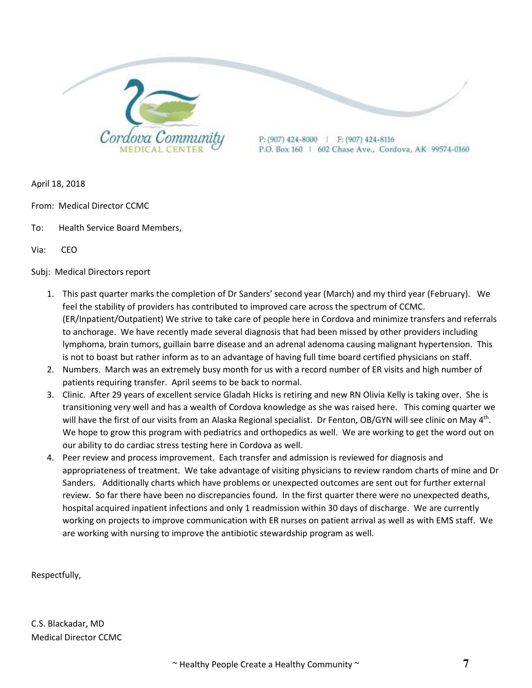

April 18, 2018

- From: Medical Director CCMC
- To: Health Service Board Members,

Via: CEO

Subj: Medical Directors report

- 1. This past quarter marks the completion of Dr Sanders' second year (March) and my third year (February). We feel the stability of providers has contributed to improved care across the spectrum of CCMC. (ER/Inpatient/Outpatient) We strive to take care of people here in Cordova and minimize transfers and referrals to anchorage. We have recently made several diagnosis that had been missed by other providers including lymphoma, brain tumors, guillain barre disease and an adrenal adenoma causing malignant hypertension. This is not to boast but rather inform as to an advantage of having full time board certified physicians on staff.
- 2. Numbers. March was an extremely busy month for us with a record number of ER visits and high number of patients requiring transfer. April seems to be back to normal.
- 3. Clinic. After 29 years of excellent service Gladah Hicks is retiring and new RN Olivia Kelly is taking over. She is transitioning very well and has a wealth of Cordova knowledge as she was raised here. This coming quarter we will have the first of our visits from an Alaska Regional specialist. Dr Fenton, OB/GYN will see clinic on May 4<sup>th</sup>. We hope to grow this program with pediatrics and orthopedics as well. We are working to get the word out on our ability to do cardiac stress testing here in Cordova as well.
- 4. Peer review and process improvement. Each transfer and admission is reviewed for diagnosis and appropriateness of treatment. We take advantage of visiting physicians to review random charts of mine and Dr Sanders. Additionally charts which have problems or unexpected outcomes are sent out for further external review. So far there have been no discrepancies found. In the first quarter there were no unexpected deaths, hospital acquired inpatient infections and only 1 readmission within 30 days of discharge. We are currently working on projects to improve communication with ER nurses on patient arrival as well as with EMS staff. We are working with nursing to improve the antibiotic stewardship program as well.

Respectfully,

C.S. Blackadar, MD Medical Director CCMC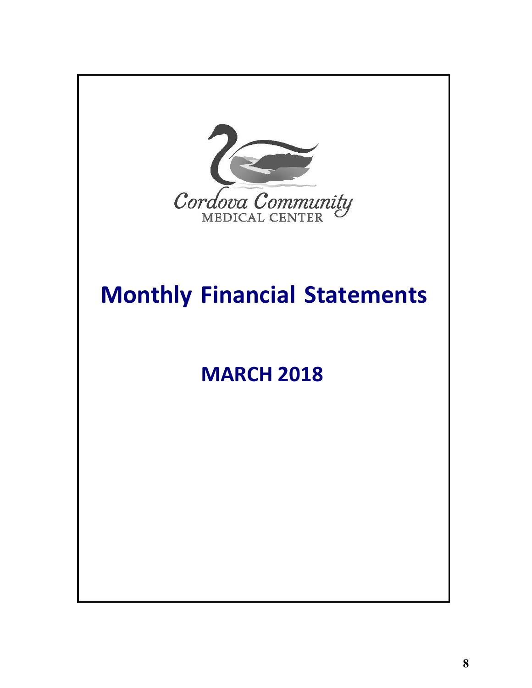

## **Monthly Financial Statements**

## **MARCH 2018**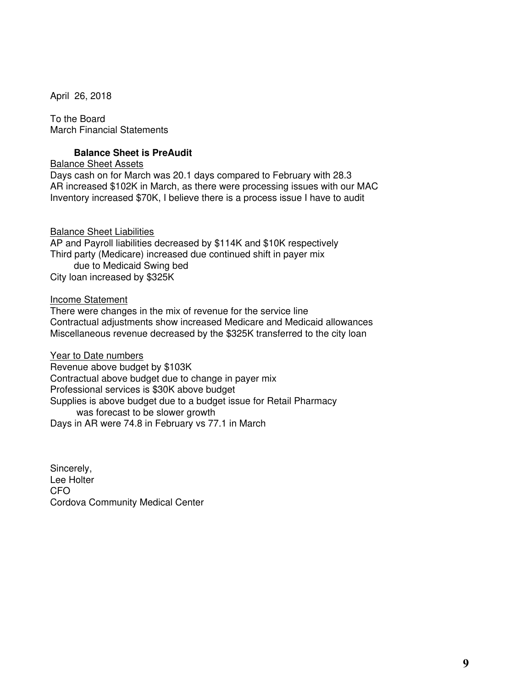April 26, 2018

To the Board March Financial Statements

#### **Balance Sheet is PreAudit**

#### Balance Sheet Assets

Days cash on for March was 20.1 days compared to February with 28.3 AR increased \$102K in March, as there were processing issues with our MAC Inventory increased \$70K, I believe there is a process issue I have to audit

#### Balance Sheet Liabilities

AP and Payroll liabilities decreased by \$114K and \$10K respectively Third party (Medicare) increased due continued shift in payer mix due to Medicaid Swing bed City loan increased by \$325K

#### Income Statement

There were changes in the mix of revenue for the service line Contractual adjustments show increased Medicare and Medicaid allowances Miscellaneous revenue decreased by the \$325K transferred to the city loan

Year to Date numbers Revenue above budget by \$103K Contractual above budget due to change in payer mix Professional services is \$30K above budget Supplies is above budget due to a budget issue for Retail Pharmacy was forecast to be slower growth Days in AR were 74.8 in February vs 77.1 in March

Sincerely, Lee Holter CFO Cordova Community Medical Center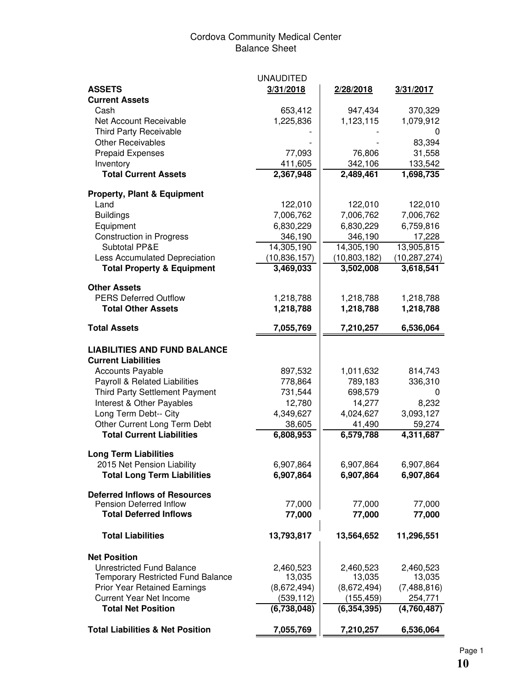#### Cordova Community Medical Center Balance Sheet

|                                                                 | <b>UNAUDITED</b>   |                    |                |
|-----------------------------------------------------------------|--------------------|--------------------|----------------|
| <b>ASSETS</b>                                                   | 3/31/2018          | 2/28/2018          | 3/31/2017      |
| <b>Current Assets</b>                                           |                    |                    |                |
| Cash                                                            | 653,412            | 947,434            | 370,329        |
| Net Account Receivable                                          | 1,225,836          | 1,123,115          | 1,079,912      |
| <b>Third Party Receivable</b>                                   |                    |                    | 0              |
| <b>Other Receivables</b>                                        |                    |                    | 83,394         |
| <b>Prepaid Expenses</b>                                         | 77,093             | 76,806             | 31,558         |
| Inventory                                                       | 411,605            | 342,106            | 133,542        |
| <b>Total Current Assets</b>                                     | 2,367,948          | 2,489,461          | 1,698,735      |
| <b>Property, Plant &amp; Equipment</b>                          |                    |                    |                |
| Land                                                            | 122,010            | 122,010            | 122,010        |
| <b>Buildings</b>                                                | 7,006,762          | 7,006,762          | 7,006,762      |
| Equipment                                                       | 6,830,229          | 6,830,229          | 6,759,816      |
| <b>Construction in Progress</b>                                 | 346,190            | 346,190            | 17,228         |
| <b>Subtotal PP&amp;E</b>                                        | 14,305,190         | 14,305,190         | 13,905,815     |
| Less Accumulated Depreciation                                   | (10, 836, 157)     | (10, 803, 182)     | (10, 287, 274) |
| <b>Total Property &amp; Equipment</b>                           | 3,469,033          | 3,502,008          | 3,618,541      |
|                                                                 |                    |                    |                |
| <b>Other Assets</b>                                             |                    |                    |                |
| <b>PERS Deferred Outflow</b>                                    | 1,218,788          | 1,218,788          | 1,218,788      |
| <b>Total Other Assets</b>                                       | 1,218,788          | 1,218,788          | 1,218,788      |
| <b>Total Assets</b>                                             | 7,055,769          | 7,210,257          | 6,536,064      |
|                                                                 |                    |                    |                |
| <b>LIABILITIES AND FUND BALANCE</b>                             |                    |                    |                |
| <b>Current Liabilities</b>                                      |                    |                    |                |
| <b>Accounts Payable</b>                                         | 897,532            | 1,011,632          | 814,743        |
| Payroll & Related Liabilities<br>Third Party Settlement Payment | 778,864<br>731,544 | 789,183<br>698,579 | 336,310<br>0   |
| Interest & Other Payables                                       | 12,780             | 14,277             | 8,232          |
| Long Term Debt-- City                                           | 4,349,627          | 4,024,627          | 3,093,127      |
| Other Current Long Term Debt                                    | 38,605             | 41,490             | 59,274         |
| <b>Total Current Liabilities</b>                                | 6,808,953          | 6,579,788          | 4,311,687      |
|                                                                 |                    |                    |                |
| <b>Long Term Liabilities</b>                                    |                    |                    |                |
| 2015 Net Pension Liability                                      | 6,907,864          | 6,907,864          | 6,907,864      |
| <b>Total Long Term Liabilities</b>                              | 6,907,864          | 6,907,864          | 6,907,864      |
|                                                                 |                    |                    |                |
| <b>Deferred Inflows of Resources</b><br>Pension Deferred Inflow | 77,000             | 77,000             | 77,000         |
| <b>Total Deferred Inflows</b>                                   | 77,000             | 77,000             | 77,000         |
|                                                                 |                    |                    |                |
| <b>Total Liabilities</b>                                        | 13,793,817         | 13,564,652         | 11,296,551     |
| <b>Net Position</b>                                             |                    |                    |                |
| <b>Unrestricted Fund Balance</b>                                | 2,460,523          | 2,460,523          | 2,460,523      |
| Temporary Restricted Fund Balance                               | 13,035             | 13,035             | 13,035         |
| <b>Prior Year Retained Earnings</b>                             | (8,672,494)        | (8,672,494)        | (7, 488, 816)  |
| <b>Current Year Net Income</b>                                  | (539, 112)         | (155, 459)         | 254,771        |
| <b>Total Net Position</b>                                       | (6,738,048)        | (6, 354, 395)      | (4,760,487)    |
| <b>Total Liabilities &amp; Net Position</b>                     | 7,055,769          | 7,210,257          | 6,536,064      |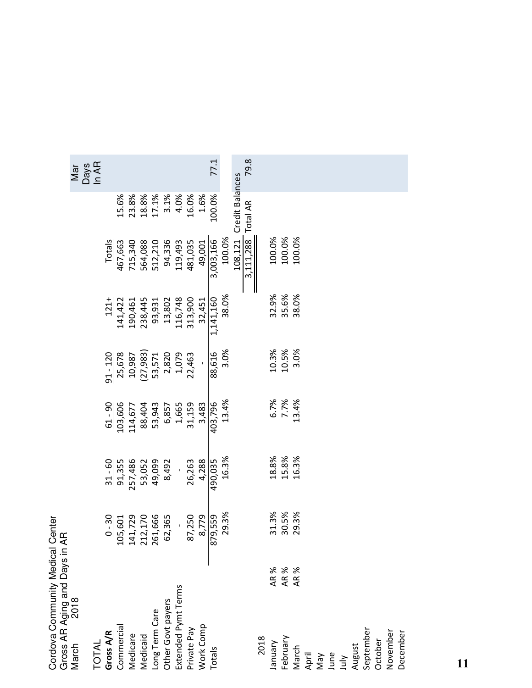| Cordova Community Medical                             | Center<br>Æ |           |              |            |           |           |                        |                    |
|-------------------------------------------------------|-------------|-----------|--------------|------------|-----------|-----------|------------------------|--------------------|
| Gross AR Aging and Days in .<br>March   2018<br>March |             |           |              |            |           |           |                        | <b>Days</b><br>Mar |
| Gross A/R<br><b>TOTAL</b>                             | $0 - 30$    | $31 - 60$ | $61 - 90$    | $91 - 120$ | $121+$    | Totals    |                        | In AR              |
| Commercial                                            | 105,601     | 91,355    | 103,606      | 25,678     | 141,422   | 467,663   | 15.6%                  |                    |
| Medicare                                              | 141,729     | 257,486   | 114,677      | 10,987     | 190,461   | 715,340   | 23.8%                  |                    |
| Medicaid                                              | 212,170     | 53,052    | 88,404       | (27, 983)  | 238,445   | 564,088   | 18.8%                  |                    |
| Long Term Care                                        | 261,666     | 49,099    | 53,943       | 53,571     | 93,931    | 512,210   | 17.1%                  |                    |
| Other Govt payers<br>Extended Pymt Terms              | 62,365      | 8,492     | 6,857        | 2,820      | 13,802    | 94,336    | 3.1%                   |                    |
|                                                       |             |           | 1,665        | 1,079      | 116,748   | 119,493   | 4.0%                   |                    |
| Private Pay                                           | 87,250      | 26,263    | 31,159       | 22,463     | 313,900   | 481,035   | 16.0%                  |                    |
| Work Comp                                             | 8,779       | 4,288     | 3,483        |            | 32,451    | 49,001    | 1.6%                   |                    |
| Totals                                                | 879,559     | 490,035   | 403,796      | 88,616     | 1,141,160 | 3,003,166 | 100.0%                 | 77.1               |
|                                                       | 29.3%       | 16.3%     | 13.4%        | 3.0%       | 38.0%     | 100.0%    |                        |                    |
|                                                       |             |           |              |            |           | 108,121   | <b>Credit Balances</b> |                    |
|                                                       |             |           |              |            |           | 3,111,288 | Total AR               | 79.8               |
| 2018                                                  |             |           |              |            |           |           |                        |                    |
| Vienuer                                               | 31.3%       | 18.8%     |              | 10.3%      | 32.9%     | 100.0%    |                        |                    |
| AR %<br>AR %<br>AR %<br>February                      | 30.5%       | 15.8%     | 6.7%<br>7.7% | 10.5%      | 35.6%     | 100.0%    |                        |                    |
| March                                                 | 29.3%       | 16.3%     | 13.4%        | 3.0%       | 38.0%     | 100.0%    |                        |                    |
| April                                                 |             |           |              |            |           |           |                        |                    |
| VeN                                                   |             |           |              |            |           |           |                        |                    |
| June                                                  |             |           |              |            |           |           |                        |                    |
| July                                                  |             |           |              |            |           |           |                        |                    |
| August                                                |             |           |              |            |           |           |                        |                    |
| September                                             |             |           |              |            |           |           |                        |                    |
| October                                               |             |           |              |            |           |           |                        |                    |
| November                                              |             |           |              |            |           |           |                        |                    |
| December                                              |             |           |              |            |           |           |                        |                    |
|                                                       |             |           |              |            |           |           |                        |                    |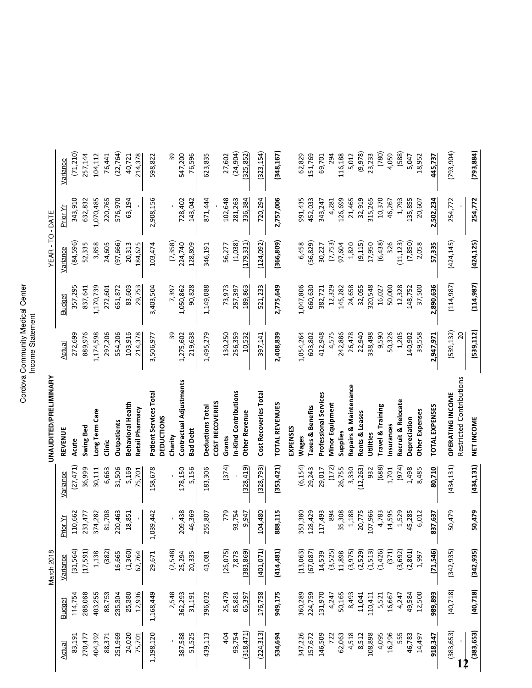# Cordova Community Medical Center Cordova Community Medical Center Income Statement

|                   |                   | March 2018       |                   |                  | UNAUDITED/PRELIMINARY                       |                      |                     | YEAR-TO-DATE       |                    |                   |
|-------------------|-------------------|------------------|-------------------|------------------|---------------------------------------------|----------------------|---------------------|--------------------|--------------------|-------------------|
| Actual            | <b>Budget</b>     | Variance         | Prior Yr          | Variance         | <b>REVENUE</b>                              | Actual               | <b>Budget</b>       | Variance           | Prior Yr           | Variance          |
| 83,191            | 114,754           | (31,564)         | 110,662           | (27, 471)        | Acute                                       | 272,699              | 357,295             | (84,596)           | 343,910            | (71, 210)         |
| 270,477           | 288,068           | (17,591)         | 233,477           | 36,999           | <b>Swing Bed</b>                            | 889,976              | 837,641             | 52,335             | 632,832            | 257,144           |
| 404,392           | 403,255           | 1,138            | 374,282           | 30,111           | Long Term Care                              | 1,174,598            | 1,170,739           | 3,858              | 1,070,485          | 104,112           |
| 88,371            | 88,753            | (382)            | 81,708            | 6,663            | Clinic                                      | 297,206              | 272,601             | 24,605             | 220,765            | 76,441            |
| 251,969           | 235,304           | 16,665           | 220,463           | 31,506           | <b>Outpatients</b>                          | 554,206              | 651,872             | (97,666)           | 576,970            | (22, 764)         |
| 24,020            | 25,380            | (1,360)          | 18,851            | 5,169            | Behavioral Health                           | 103,916              | 83,603              | 20,313             | 63,194             | 40,721            |
| 75,701            | 12,936            | 62,764           |                   | <b>15,701</b>    | Retail Pharmacy                             | 214,378              | 29,753              | 184,625            |                    | 214,378           |
| 1,198,120         | 1,168,449         | 29,671           | ,039,442          | 158,678          | Patient Services Total<br><b>DEDUCTIONS</b> | 3,506,977            | 3,403,504           | 103,474            | 2,908,156          | 598,822           |
|                   | 2,548             | (2,548)          |                   |                  | Charity                                     | 39                   | 7,397               | (7,358)            |                    | వి                |
|                   |                   |                  |                   |                  |                                             |                      |                     |                    |                    |                   |
| 387,588<br>51,525 | 362,293<br>31,191 | 20,335<br>25,294 | 209,438<br>46,369 | 178,150<br>5,156 | Contractual Adjustments<br>Bad Debt         | 219,638<br>1,275,602 | 90,828<br>1,050,862 | 224,740<br>128,809 | 728,402<br>143,042 | 547,200<br>76,596 |
| 439,113           | 396,032           | 43,081           | 255,807           | 183,306          | Deductions Total                            | 1,495,279            | 1,149,088           | 346,191            | 871,444            | 623,835           |
|                   |                   |                  |                   |                  | COST RECOVERIES                             |                      |                     |                    |                    |                   |
| 404               | 25,479            | (25, 075)        | 779               | (374)            | Grants                                      | 130,250              | 73,973              | 56,277             | 102,648            | 27,602            |
| 93,754            | 85,881            | 7,873            | 93,754            |                  | n-Kind Contributions                        | 256,359              | 257,397             | (1,038)            | 281,263            | (24, 904)         |
| (318, 471)        | 65,397            | (383, 869)       | 9,947             | (328, 419)       | <b>Other Revenue</b>                        | 10,532               | 189,863             | (179, 331)         | 336,384            | 325,852           |
| (224, 313)        | 176,758           | (401, 071)       | 104,480           | (328, 793)       | Cost Recoveries Total                       | 397,141              | 521,233             | (124, 092)         | 720,294            | (323, 154)        |
| 534,694           | 949,175           | (414, 481)       | 888,115           | (353, 421)       | TOTAL REVENUES                              | 2,408,839            | 2,775,649           | (366, 809)         | 2,757,006          | (348, 167)        |
|                   |                   |                  |                   |                  | EXPENSES                                    |                      |                     |                    |                    |                   |
| 347,226           | 360,289           | (13, 063)        | 353,380           | (6, 154)         | Wages                                       | 1,054,264            | 1,047,806           | 6,458              | 991,435            | 62,829            |
| 157,672           | 224,759           | (67,087)         | 128,429           | 29,243           | <b>Taxes &amp; Benefits</b>                 | 603,802              | 660,630             | (56, 829)          | 452,033            | 151,769           |
| 146,509           | 131,970           | 14,539           | 117,493           | 29,017           | Professional Services                       | 412,948              | 382,721             | 30,227             | 343,247            | 69,701            |
| 722               | 4,247             | (3,525)          | 894               | (172)            | Minor Equipment                             | 4,575                | 12,329              | (7,753)            | 4,281              | 294               |
| 62,063            | 50,165            | 11,898           | 35,308            | 26,755           | Supplies                                    | 242,886              | 145,282             | 97,604             | 126,699            | 116,188           |
| 4,518             | 8,493             | (3, 975)         | 1,188             | 3,330            | Repairs & Maintenance                       | 26,478               | 24,658              | 1,820              | 21,465             | 5,012             |
| 8,512             | 11,041            | (2,529)          | 20,775            | (12, 263)        | Rents & Leases                              | 22,940               | 32,055              | (9, 115)           | 32,919             | (9,978)           |
| 108,898           | 110,411           | (1, 513)         | 107,966           | 932              | Utilities                                   | 338,498              | 320,548             | 17,950             | 315,265            | 23,233            |
| 4,095             | 5,521             | (1, 426)         | 4,783             | (688)            | <b>Travel &amp; Training</b>                | 9,590                | 16,027              | (6, 438)           | 10,370             | (780)             |
| 16,296            | 16,667            | (371)            | 14,595            | 1,701            | nsurances                                   | 50,326               | 50,000              | 326                | 46,267             | 4,059             |
| 555               | 4,247             | (3,692)          | 1,529             | (974)            | Recruit & Relocate                          | 1,205                | 12,328              | (11, 123)          | 1,793              | (588)             |
| 46,783            | 49,584            | (2, 801)         | 45,285            | 1,498            | Depreciation                                | 140,902              | 148,752             | (7, 850)           | 135,855            | 5,047             |
| 14,497            | 12,500            | 1,997            | 6,012             | 8,485            | Other Expenses                              | 39,558               | 37,500              | 2,058              | 20,607             | 18,952            |
| 918,347           | 989,893           | (71,546)         | 837,637           | 80,710           | <b>TOTAL EXPENSES</b>                       | 2,947,971            | 2,890,636           | 57,335             | 2,502,234          | 445,737           |
| (383, 653)        | (40, 718)         | (342, 935)       | 50,479            | (434, 131)       | OPERATING INCOME                            | (539, 132)           | (114, 987)          | (424, 145)         | 254,772            | (793, 904)        |
| 2                 |                   |                  |                   |                  | Restricted Contributions                    | $\overline{c}$       |                     |                    |                    |                   |
| (383, 653)        | (40, 718)         | (342, 935)       | 50,479            | (434, 131)       | NET INCOME                                  | (539, 112)           | (114, 987)          | (424, 125)         | 254,772            | (793, 884)        |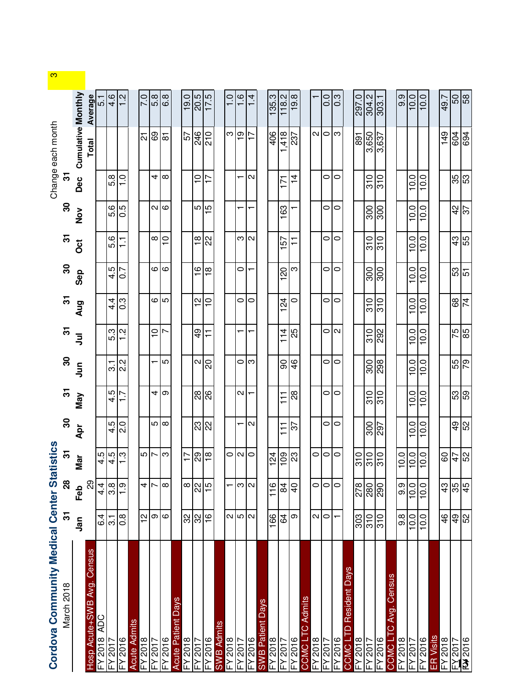| Cordova Community Medical Center Statistics |                      |                 |                               |                          |                           |                     |                           |                  |                  |                           |                  |                  | Change each month         |                  |
|---------------------------------------------|----------------------|-----------------|-------------------------------|--------------------------|---------------------------|---------------------|---------------------------|------------------|------------------|---------------------------|------------------|------------------|---------------------------|------------------|
| March 2018                                  | స్                   | 28              | $\overline{\mathcal{E}}$      | ౚ                        | $\overline{\mathfrak{c}}$ | 8                   | $\overline{\mathfrak{S}}$ | 5                | $\boldsymbol{S}$ | $\overline{\mathfrak{S}}$ | 8                | 5                |                           |                  |
|                                             | <u>ក្ខ</u>           | Feb             | Mar                           | Apr                      | Nay                       | <b>Jur</b>          | $\bar{5}$                 | Aug              | Sep              | $\ddot{\rm o}$            | $\frac{8}{2}$    | Dec              | <b>Cumulative Monthly</b> |                  |
| Census<br>Avg.<br><b>Hosp Acute+SWB</b>     |                      | 29              |                               |                          |                           |                     |                           |                  |                  |                           |                  |                  | Total                     | Average          |
| <b>ADC</b><br>$-4.5018$                     | 6.4                  | $4\frac{4}{1}$  | 5.1                           |                          |                           |                     |                           |                  |                  |                           |                  |                  |                           | _<br>თ           |
| -Y 2017                                     | $\overline{3}$       | 3.8             | اجا                           | 4.5                      | 4.5                       | $\frac{7}{22}$      | 5.3                       | $4\cdot$         | 4.5              | 5.6                       | 5.6              | 5.8              |                           | 4.6              |
| $-5016$                                     | $\frac{8}{0}$        | $\frac{1}{1}$   | က္                            | $\overline{2.0}$         | $\frac{1}{1}$             |                     | $\frac{2}{1}$             | 0.3              | 0.7              | $\overline{1}$            | 6.0              | $\frac{0}{1}$    |                           | $\frac{2}{1}$    |
| <b>Acute Admits</b>                         |                      |                 |                               |                          |                           |                     |                           |                  |                  |                           |                  |                  |                           |                  |
| $-5018$                                     | $\frac{1}{2}$        | 4               | $\frac{1}{2}$                 |                          |                           |                     |                           |                  |                  |                           |                  |                  | <u>يا</u>                 | 0.7              |
| FY 2017                                     | Θ                    |                 |                               |                          | 4                         |                     | $\frac{1}{\sqrt{2}}$      | ဖ ဖြ             | 6                | $^\infty$                 | N                | 4                | 69                        | 5.8              |
| FY 2016                                     | $\infty$             | $\infty$        | က                             | ഥ∣ത                      | စြ                        | 5                   | $\overline{ }$            |                  | $\infty$         | $\overline{C}$            | $\infty$         | $\infty$         | <u>ल</u>                  | 6.8              |
| Days<br><b>Acute Patient</b>                |                      |                 |                               |                          |                           |                     |                           |                  |                  |                           |                  |                  |                           |                  |
| $-72018$                                    | 3                    | $\infty$        | $\overline{17}$               |                          |                           |                     |                           |                  |                  |                           |                  |                  | 57                        | 19.0             |
| $-5017$                                     | 32                   | 22              | စ္လု $\frac{8}{10}$           | ន $\frac{1}{2}$          | <u>ಇ¦</u>                 | $\boldsymbol{\sim}$ | $\frac{6}{4}$             | 51               | $\frac{6}{1}$    | $\frac{\infty}{\tau}$     | 5                | $\tilde{=}$      | $rac{46}{210}$            | 20.5             |
| $-5016$                                     | $\frac{1}{2}$        | $\frac{5}{1}$   |                               |                          |                           | $\overline{0}$      | $\overline{1}$            | $\frac{1}{2}$    | $\frac{8}{1}$    | 22                        | $\frac{51}{2}$   | 7T               |                           | 17.5             |
| <b>SWB Admits</b>                           |                      |                 |                               |                          |                           |                     |                           |                  |                  |                           |                  |                  |                           |                  |
|                                             |                      |                 | $\circ$                       |                          |                           |                     |                           |                  |                  |                           |                  |                  | က $\frac{1}{2}$           | $\frac{0}{1}$    |
| FY 2018<br>FY 2017                          | $\sim$ $\sim$ $\sim$ | ന∣ഢ             | a                             | $\overline{\phantom{0}}$ | $\sim$                    | ం∣ఌ                 |                           | $\circ$          | 0                | ന∣ഢ                       |                  |                  |                           | $\frac{6}{1}$    |
| FY 2016                                     |                      |                 |                               | $\sim$                   |                           |                     |                           | $\circ$          |                  |                           |                  | $\sim$           | $\overline{1}$            | $1\overline{4}$  |
| <b>Days</b><br><b>SWB Patient</b>           |                      |                 |                               |                          |                           |                     |                           |                  |                  |                           |                  |                  |                           |                  |
| $8102 \lambda$                              | 166                  | $\frac{6}{1}$   | 24                            |                          |                           |                     |                           |                  |                  |                           |                  |                  | 406                       | 135.3            |
| 7102/<br>≿                                  | 54                   | $\frac{8}{4}$   | 83                            | $\frac{1}{1}$            | $\overline{1}$            | 90                  | 114                       | $\overline{2}$   | 20               | 157                       | 163              | ŗ                | 418                       | 118.2            |
| $-5016$                                     | თ                    | $\frac{1}{2}$   |                               | 57                       | 88                        | 46                  | 25                        | $\circ$          | ო                | $\overline{1}$            |                  | $\frac{4}{1}$    | 237                       | 19.8             |
| Admits<br>Õ<br><b>J ONOC</b>                |                      |                 |                               |                          |                           |                     |                           |                  |                  |                           |                  |                  |                           |                  |
| $-72018$                                    | $\mathbf{\Omega}$    | 0               | $\circ$                       |                          |                           |                     |                           |                  |                  |                           |                  |                  | $\mathbf{\Omega}$         |                  |
| 7102 Y-                                     | $\circ$              | 0               | $\circ$                       | 0                        | 0                         | O                   | ೦∣∾                       | 0                | 0                | 0                         | 0                | 0                | $\circ$                   | $\frac{0}{0}$    |
| FY 2016                                     |                      | $\circ$         | $\circ$                       | $\circ$                  | $\circ$                   | $\circ$             |                           | $\circ$          | $\circ$          | $\circ$                   | $\circ$          | $\circ$          | က                         | $0.\overline{3}$ |
| <b>Days</b><br>Resident<br>COMO L'          |                      |                 |                               |                          |                           |                     |                           |                  |                  |                           |                  |                  |                           |                  |
| $8102 \lambda$                              | 303                  | 278             | $\frac{15}{15}$               |                          |                           |                     |                           |                  |                  |                           |                  |                  | 891                       | 297.0            |
| 7007                                        | 310                  | $\frac{8}{80}$  |                               | 300                      | 310                       | $\frac{8}{208}$     | $\frac{5}{292}$           | 310              | 300              | 310                       | 300              | 310              | 3,650                     | 304.2            |
| FY 2016                                     | $\overline{310}$     |                 |                               | 297                      | $\overline{310}$          |                     |                           | $\overline{310}$ | $\overline{300}$ | $\overline{310}$          | $\overline{006}$ | $\overline{310}$ | 3,637                     | 303.1            |
| Census<br>Avg.<br>COMO <sub>L</sub>         |                      |                 |                               |                          |                           |                     |                           |                  |                  |                           |                  |                  |                           |                  |
| $-5.024$                                    | 9.8                  | 9.9             | $\overline{C}$<br>$\tilde{+}$ |                          |                           |                     |                           |                  |                  |                           |                  |                  |                           | 9.9              |
| 70017                                       | 10.0                 | 10.0            | $\overline{0}$<br>Ē           | 10.0                     | 10.0                      | 10.0                | 10.0                      | 10.0             | 10.0             | 10.0                      | 10.0             | 10.0             |                           | 10.0             |
| FY 2016                                     | 10.0                 | 10.0            | $\overline{0}$ .<br>Ē         | 10.0                     | 10.0                      | 10.0                | 10.0                      | 10.0             | 10.0             | 10.0                      | 10.0             | 10.0             |                           | 10.0             |
| <b>ER</b> Visits                            |                      |                 |                               |                          |                           |                     |                           |                  |                  |                           |                  |                  |                           |                  |
| $-5.024$                                    | $\frac{4}{5}$        | 43              | 09                            |                          |                           |                     |                           |                  |                  |                           |                  |                  | 149                       | 49.7             |
|                                             |                      |                 |                               |                          |                           |                     | 75                        | 89               |                  | 43                        |                  |                  | 604                       | 89               |
|                                             |                      |                 |                               |                          |                           |                     |                           |                  |                  |                           |                  |                  |                           |                  |
| $\frac{2017}{100}$                          | ခု<br>အ              | $\frac{45}{45}$ | $\frac{4}{2}$                 | $\frac{49}{52}$          | $\frac{65}{65}$           | $rac{62}{56}$       | 85                        | $\overline{7}$   | $\frac{53}{51}$  | 55                        | $rac{42}{37}$    |                  | $\frac{82}{96}$           | 694              |

 $\frac{1}{\omega}$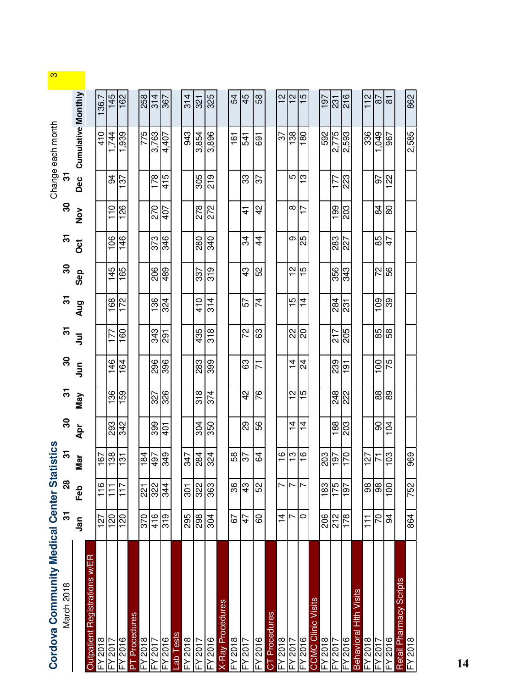| Cordova Community Medical Center Statis |                |                   | tics                      |                 |               |                |                 |               |                 |               |               |                 | Change each month         |                  | S |
|-----------------------------------------|----------------|-------------------|---------------------------|-----------------|---------------|----------------|-----------------|---------------|-----------------|---------------|---------------|-----------------|---------------------------|------------------|---|
| March 2018                              | స్             | $\bf{28}$         | $\overline{\mathfrak{S}}$ | ႙               | $\mathbf{r}$  | 8              | 5               | స్            | 8               | ᢛ             | 8             | $\mathbf{r}$    |                           |                  |   |
|                                         | Jan            | Feb               | Mar                       | $\mathbf{A}$ pr | <b>May</b>    | $\bar{5}$      | $\bar{5}$       | Aug           | Sep             | Oct           | $\frac{8}{2}$ | Dec             | <b>Cumulative Monthly</b> |                  |   |
| Registrations w/ER<br><b>Dutpatient</b> |                |                   |                           |                 |               |                |                 |               |                 |               |               |                 |                           |                  |   |
| FY 2018                                 | 127            | $\frac{6}{11}$    | $rac{85}{29}$             |                 |               |                |                 |               |                 |               |               |                 | 410                       | $\frac{1}{36.7}$ |   |
| $-5017$                                 | 120            | $\overline{\tau}$ |                           | 293             | 136           | 146            | 177             | 168           | 145             | 106           | 110           | 3               | .744                      | 145              |   |
| FY 2016                                 | 120            | 117               | $\overline{5}$            | 342             | 159           | 164            | 160             | 172           | 165             | 146           | 126           | 137             | 939                       | 162              |   |
| PT Procedures                           |                |                   |                           |                 |               |                |                 |               |                 |               |               |                 |                           |                  |   |
| FY 2018                                 | 370            | ន្ត្              | 84                        |                 |               |                |                 |               |                 |               |               |                 | 775                       | 258              |   |
|                                         | 416            | $\frac{32}{344}$  | $\overline{56}$<br>4      | 399             | 327           |                | $rac{343}{291}$ | $\frac{8}{6}$ | $\frac{8}{206}$ | 373           | 270           | $\frac{178}{ }$ | 3,763                     | 314              |   |
| EY 2016<br>FY 2016                      | 319            |                   | 349                       | $\frac{1}{2}$   | 326           | $\frac{8}{35}$ |                 | 324           | 489             | 346           | 407           | 415             | 4,407                     | 367              |   |
| ab Tests                                |                |                   |                           |                 |               |                |                 |               |                 |               |               |                 |                           |                  |   |
| FY 2018                                 | 295            | $\overline{5}$    | 347                       |                 |               |                |                 |               |                 |               |               |                 | 943                       | 314              |   |
| FY 2017                                 | 298            | 322               | $\frac{3}{20}$            | 304             | $\frac{8}{3}$ | 283            | 435             | 410           | 337             | 280           | 278           | 305             | 3,854                     | 321              |   |
| FY 2016                                 | 304            | 363               |                           | 350             | 374           | 399            | 318             | 314           | 319             | 340           | 272           | 219             | 3,896                     | 325              |   |
| X-Ray Procedures                        |                |                   |                           |                 |               |                |                 |               |                 |               |               |                 |                           |                  |   |
| FY 2018                                 | 67             | 36                | 58                        |                 |               |                |                 |               |                 |               |               |                 | $\frac{1}{6}$             | 54               |   |
| FY 2017                                 | 47             | 43                | $\frac{2}{3}$             | 89              | $\frac{2}{3}$ | සි             | 72              | 57            | $\frac{3}{4}$   | 34            | 4             | ွာ              | 541                       | 45               |   |
| FY 2016                                 | 8              | 52                | 34                        | 85              | 97            | 下              | 33              | 74            | 52              | $\frac{4}{4}$ | 42            | 22              | 691                       | 58               |   |
| CT Procedures                           |                |                   |                           |                 |               |                |                 |               |                 |               |               |                 |                           |                  |   |
| FY 2018                                 | $\overline{4}$ | ↖                 | $\frac{6}{1}$             |                 |               |                |                 |               |                 |               |               |                 | 22                        | $\frac{2}{1}$    |   |
| FY 2017                                 | Ņ              | ↖                 | $\frac{3}{2}$             | $\frac{4}{1}$   | $\frac{2}{1}$ | $\frac{1}{4}$  | <u>ଷ</u> ାର     | 15            | $\frac{1}{2}$   | თ             | ∞             | 5               | 138                       | N                |   |
| FY 2016                                 | 0              | r                 | $\frac{6}{1}$             | $\overline{4}$  | 5             | 24             |                 | 4             | S               | 25            | Ù             | က               | 80                        | $\overline{5}$   |   |
| <b>Clinic Visits</b><br><b>CCMC</b>     |                |                   |                           |                 |               |                |                 |               |                 |               |               |                 |                           |                  |   |
| FY 2018                                 | 206            | 183               | 203                       |                 |               |                |                 |               |                 |               |               |                 | 592                       | 197              |   |
| (2017)                                  | 212            | 175               | 76                        | 188             | 248           | 239            | 217             | 284           | 356             | 283           | <b>661</b>    | 177             | 2,775                     | 231              |   |
| $-72016$                                | 178            | 197               | 07                        | 203             | 222           | -191           | 205             | 231           | 343             | 227           | 203           | 223             | 2,593                     | 216              |   |
| Hith Visits<br><b>Behaviora</b>         |                |                   |                           |                 |               |                |                 |               |                 |               |               |                 |                           |                  |   |
| FY 2018                                 | $\frac{1}{1}$  | 88                | $\overline{27}$           |                 |               |                |                 |               |                 |               |               |                 | 336                       | $\frac{2}{11}$   |   |
| FY 2017                                 | 70             | 86                | 71                        | ဓ               | 88            | 100            | $\frac{85}{9}$  | 109           | 22              | 85            | 84            | $\overline{5}$  | 049                       | $\overline{8}$   |   |
| FY 2016                                 | 3              | $\overline{0}$    | 89                        | 104             | 89            | 75             |                 | 89            | 56              | 47            | 8             | 122             | 967                       | $\overline{8}$   |   |
| Retail Pharmacy Scripts                 |                |                   |                           |                 |               |                |                 |               |                 |               |               |                 |                           |                  |   |
| FY 2018                                 | 864            | 752               | 969                       |                 |               |                |                 |               |                 |               |               |                 | 2,585                     | 862              |   |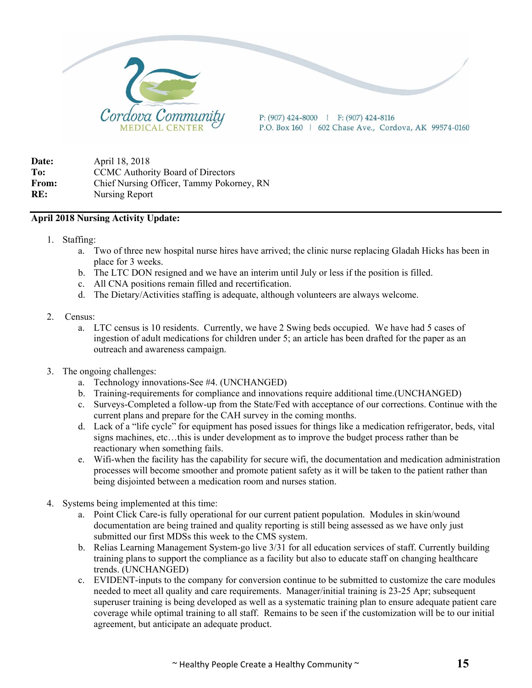

**Date:** April 18, 2018 To: CCMC Authority Board of Directors **From:** Chief Nursing Officer, Tammy Pokorney, RN **RE:** Nursing Report

#### **April 2018 Nursing Activity Update:**

- 1. Staffing:
	- a. Two of three new hospital nurse hires have arrived; the clinic nurse replacing Gladah Hicks has been in place for 3 weeks.
	- b. The LTC DON resigned and we have an interim until July or less if the position is filled.
	- c. All CNA positions remain filled and recertification.
	- d. The Dietary/Activities staffing is adequate, although volunteers are always welcome.
- 2. Census:
	- a. LTC census is 10 residents. Currently, we have 2 Swing beds occupied. We have had 5 cases of ingestion of adult medications for children under 5; an article has been drafted for the paper as an outreach and awareness campaign.
- 3. The ongoing challenges:
	- a. Technology innovations-See #4. (UNCHANGED)
	- b. Training-requirements for compliance and innovations require additional time.(UNCHANGED)
	- c. Surveys-Completed a follow-up from the State/Fed with acceptance of our corrections. Continue with the current plans and prepare for the CAH survey in the coming months.
	- d. Lack of a "life cycle" for equipment has posed issues for things like a medication refrigerator, beds, vital signs machines, etc…this is under development as to improve the budget process rather than be reactionary when something fails.
	- e. Wifi-when the facility has the capability for secure wifi, the documentation and medication administration processes will become smoother and promote patient safety as it will be taken to the patient rather than being disjointed between a medication room and nurses station.
- 4. Systems being implemented at this time:
	- a. Point Click Care-is fully operational for our current patient population. Modules in skin/wound documentation are being trained and quality reporting is still being assessed as we have only just submitted our first MDSs this week to the CMS system.
	- b. Relias Learning Management System-go live 3/31 for all education services of staff. Currently building training plans to support the compliance as a facility but also to educate staff on changing healthcare trends. (UNCHANGED)
	- c. EVIDENT-inputs to the company for conversion continue to be submitted to customize the care modules needed to meet all quality and care requirements. Manager/initial training is 23-25 Apr; subsequent superuser training is being developed as well as a systematic training plan to ensure adequate patient care coverage while optimal training to all staff. Remains to be seen if the customization will be to our initial agreement, but anticipate an adequate product.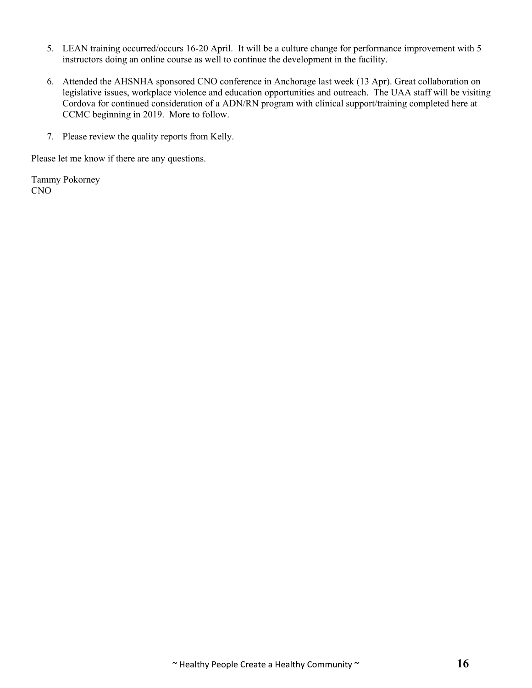- 5. LEAN training occurred/occurs 16-20 April. It will be a culture change for performance improvement with 5 instructors doing an online course as well to continue the development in the facility.
- 6. Attended the AHSNHA sponsored CNO conference in Anchorage last week (13 Apr). Great collaboration on legislative issues, workplace violence and education opportunities and outreach. The UAA staff will be visiting Cordova for continued consideration of a ADN/RN program with clinical support/training completed here at CCMC beginning in 2019. More to follow.
- 7. Please review the quality reports from Kelly.

Please let me know if there are any questions.

Tammy Pokorney CNO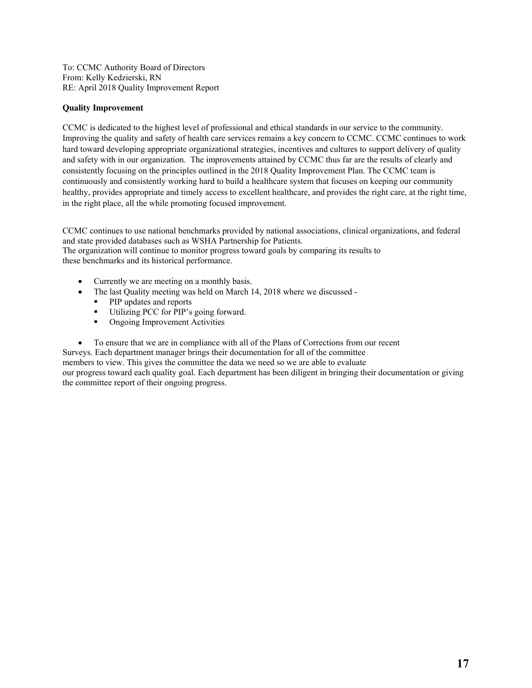To: CCMC Authority Board of Directors From: Kelly Kedzierski, RN RE: April 2018 Quality Improvement Report

#### **Quality Improvement**

CCMC is dedicated to the highest level of professional and ethical standards in our service to the community. Improving the quality and safety of health care services remains a key concern to CCMC. CCMC continues to work hard toward developing appropriate organizational strategies, incentives and cultures to support delivery of quality and safety with in our organization. The improvements attained by CCMC thus far are the results of clearly and consistently focusing on the principles outlined in the 2018 Quality Improvement Plan. The CCMC team is continuously and consistently working hard to build a healthcare system that focuses on keeping our community healthy, provides appropriate and timely access to excellent healthcare, and provides the right care, at the right time, in the right place, all the while promoting focused improvement.

CCMC continues to use national benchmarks provided by national associations, clinical organizations, and federal and state provided databases such as WSHA Partnership for Patients. The organization will continue to monitor progress toward goals by comparing its results to these benchmarks and its historical performance.

- Currently we are meeting on a monthly basis.
- The last Quality meeting was held on March 14, 2018 where we discussed
	- PIP updates and reports
	- Utilizing PCC for PIP's going forward.<br>■ Ongoing Improvement Activities
	- Ongoing Improvement Activities
- To ensure that we are in compliance with all of the Plans of Corrections from our recent

Surveys. Each department manager brings their documentation for all of the committee members to view. This gives the committee the data we need so we are able to evaluate our progress toward each quality goal. Each department has been diligent in bringing their documentation or giving the committee report of their ongoing progress.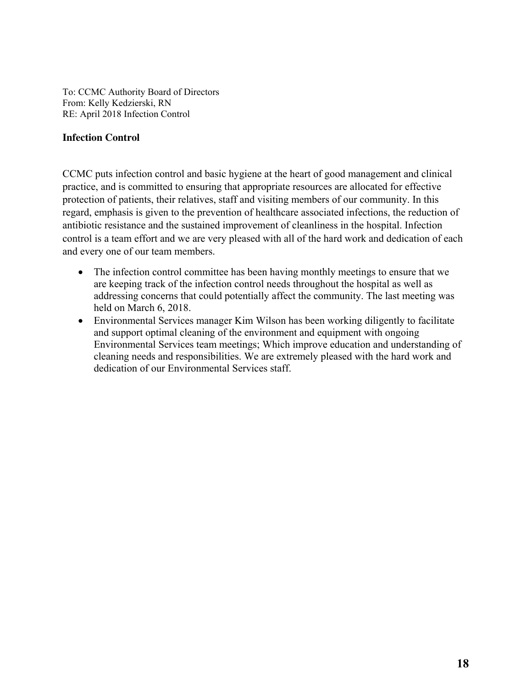To: CCMC Authority Board of Directors From: Kelly Kedzierski, RN RE: April 2018 Infection Control

#### **Infection Control**

CCMC puts infection control and basic hygiene at the heart of good management and clinical practice, and is committed to ensuring that appropriate resources are allocated for effective protection of patients, their relatives, staff and visiting members of our community. In this regard, emphasis is given to the prevention of healthcare associated infections, the reduction of antibiotic resistance and the sustained improvement of cleanliness in the hospital. Infection control is a team effort and we are very pleased with all of the hard work and dedication of each and every one of our team members.

- The infection control committee has been having monthly meetings to ensure that we are keeping track of the infection control needs throughout the hospital as well as addressing concerns that could potentially affect the community. The last meeting was held on March 6, 2018.
- Environmental Services manager Kim Wilson has been working diligently to facilitate and support optimal cleaning of the environment and equipment with ongoing Environmental Services team meetings; Which improve education and understanding of cleaning needs and responsibilities. We are extremely pleased with the hard work and dedication of our Environmental Services staff.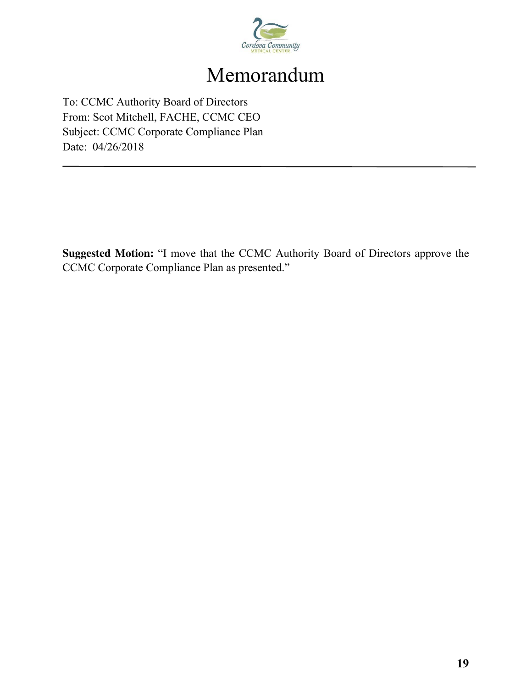

## Memorandum

To: CCMC Authority Board of Directors From: Scot Mitchell, FACHE, CCMC CEO Subject: CCMC Corporate Compliance Plan Date: 04/26/2018

**Suggested Motion:** "I move that the CCMC Authority Board of Directors approve the CCMC Corporate Compliance Plan as presented."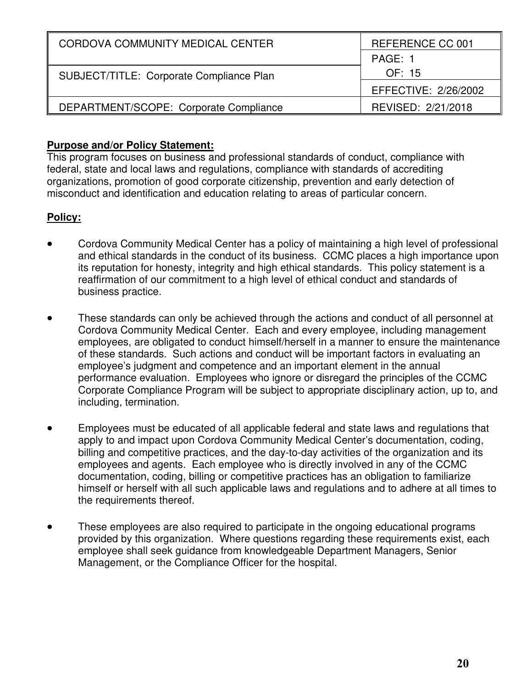| CORDOVA COMMUNITY MEDICAL CENTER         | REFERENCE CC 001     |
|------------------------------------------|----------------------|
|                                          | PAGE: 1              |
| SUBJECT/TITLE: Corporate Compliance Plan | OF: 15               |
|                                          | EFFECTIVE: 2/26/2002 |
| DEPARTMENT/SCOPE: Corporate Compliance   | REVISED: 2/21/2018   |

#### **Purpose and/or Policy Statement:**

This program focuses on business and professional standards of conduct, compliance with federal, state and local laws and regulations, compliance with standards of accrediting organizations, promotion of good corporate citizenship, prevention and early detection of misconduct and identification and education relating to areas of particular concern.

#### **Policy:**

- Cordova Community Medical Center has a policy of maintaining a high level of professional and ethical standards in the conduct of its business. CCMC places a high importance upon its reputation for honesty, integrity and high ethical standards. This policy statement is a reaffirmation of our commitment to a high level of ethical conduct and standards of business practice.
- These standards can only be achieved through the actions and conduct of all personnel at Cordova Community Medical Center. Each and every employee, including management employees, are obligated to conduct himself/herself in a manner to ensure the maintenance of these standards. Such actions and conduct will be important factors in evaluating an employee's judgment and competence and an important element in the annual performance evaluation. Employees who ignore or disregard the principles of the CCMC Corporate Compliance Program will be subject to appropriate disciplinary action, up to, and including, termination.
- Employees must be educated of all applicable federal and state laws and regulations that apply to and impact upon Cordova Community Medical Center's documentation, coding, billing and competitive practices, and the day-to-day activities of the organization and its employees and agents. Each employee who is directly involved in any of the CCMC documentation, coding, billing or competitive practices has an obligation to familiarize himself or herself with all such applicable laws and regulations and to adhere at all times to the requirements thereof.
- These employees are also required to participate in the ongoing educational programs provided by this organization. Where questions regarding these requirements exist, each employee shall seek guidance from knowledgeable Department Managers, Senior Management, or the Compliance Officer for the hospital.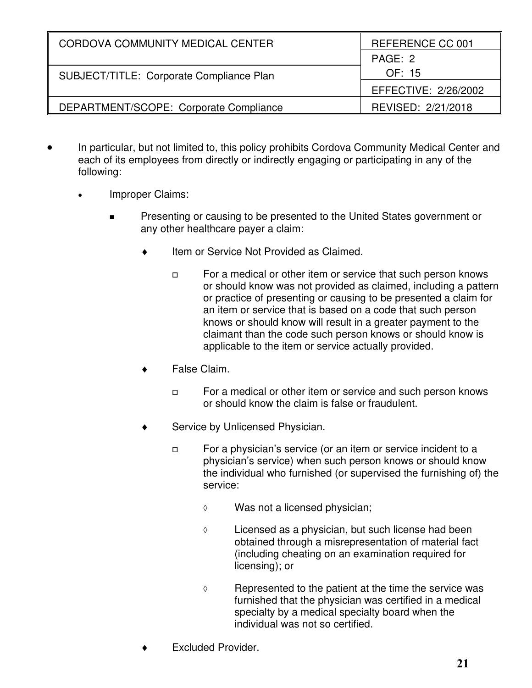| CORDOVA COMMUNITY MEDICAL CENTER         | REFERENCE CC 001     |
|------------------------------------------|----------------------|
|                                          | PAGE: 2              |
| SUBJECT/TITLE: Corporate Compliance Plan | OF: 15               |
|                                          | EFFECTIVE: 2/26/2002 |
| DEPARTMENT/SCOPE: Corporate Compliance   | REVISED: 2/21/2018   |

- In particular, but not limited to, this policy prohibits Cordova Community Medical Center and each of its employees from directly or indirectly engaging or participating in any of the following:
	- Improper Claims:
		- **Presenting or causing to be presented to the United States government or** any other healthcare payer a claim:
			- $\bullet$  Item or Service Not Provided as Claimed.
				- $\Box$  For a medical or other item or service that such person knows or should know was not provided as claimed, including a pattern or practice of presenting or causing to be presented a claim for an item or service that is based on a code that such person knows or should know will result in a greater payment to the claimant than the code such person knows or should know is applicable to the item or service actually provided.
			- False Claim.
				- $\Box$  For a medical or other item or service and such person knows or should know the claim is false or fraudulent.
			- Service by Unlicensed Physician.
				- $\Box$  For a physician's service (or an item or service incident to a physician's service) when such person knows or should know the individual who furnished (or supervised the furnishing of) the service:
					- Was not a licensed physician;
					- $\Diamond$  Licensed as a physician, but such license had been obtained through a misrepresentation of material fact (including cheating on an examination required for licensing); or
					- $\Diamond$  Represented to the patient at the time the service was furnished that the physician was certified in a medical specialty by a medical specialty board when the individual was not so certified.
			- Excluded Provider.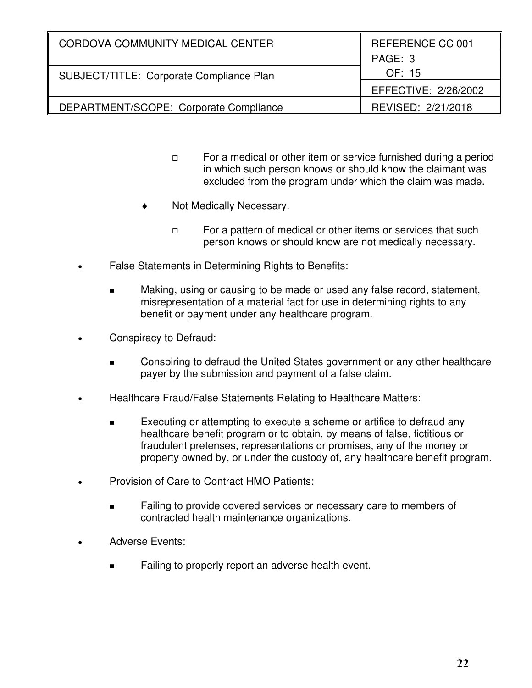| CORDOVA COMMUNITY MEDICAL CENTER         | REFERENCE CC 001     |
|------------------------------------------|----------------------|
|                                          | PAGE: 3              |
| SUBJECT/TITLE: Corporate Compliance Plan | OF: 15               |
|                                          | EFFECTIVE: 2/26/2002 |
| DEPARTMENT/SCOPE: Corporate Compliance   | REVISED: 2/21/2018   |

- $\Box$  For a medical or other item or service furnished during a period in which such person knows or should know the claimant was excluded from the program under which the claim was made.
- Not Medically Necessary.
	- $\Box$  For a pattern of medical or other items or services that such person knows or should know are not medically necessary.
- False Statements in Determining Rights to Benefits:
	- Making, using or causing to be made or used any false record, statement, misrepresentation of a material fact for use in determining rights to any benefit or payment under any healthcare program.
- Conspiracy to Defraud:
	- Conspiring to defraud the United States government or any other healthcare payer by the submission and payment of a false claim.
- Healthcare Fraud/False Statements Relating to Healthcare Matters:
	- Executing or attempting to execute a scheme or artifice to defraud any healthcare benefit program or to obtain, by means of false, fictitious or fraudulent pretenses, representations or promises, any of the money or property owned by, or under the custody of, any healthcare benefit program.
- Provision of Care to Contract HMO Patients:
	- Failing to provide covered services or necessary care to members of contracted health maintenance organizations.
- Adverse Events:
	- Failing to properly report an adverse health event.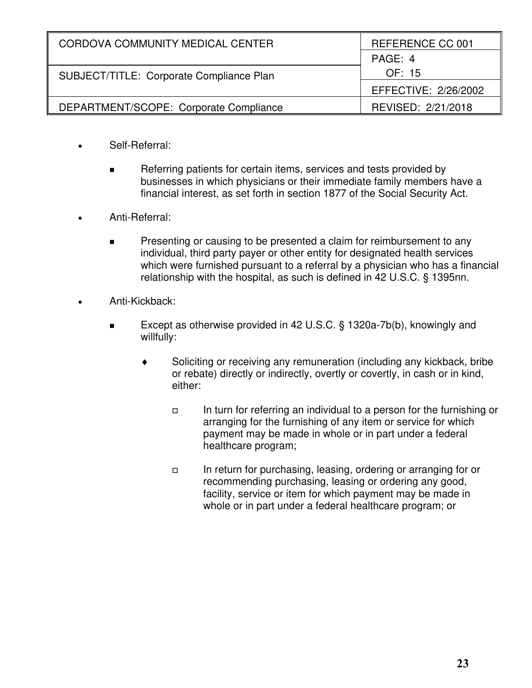| CORDOVA COMMUNITY MEDICAL CENTER         | REFERENCE CC 001     |
|------------------------------------------|----------------------|
|                                          | PAGE: 4              |
| SUBJECT/TITLE: Corporate Compliance Plan | OF: 15               |
|                                          | EFFECTIVE: 2/26/2002 |
| DEPARTMENT/SCOPE: Corporate Compliance   | REVISED: 2/21/2018   |

- Self-Referral:
	- Referring patients for certain items, services and tests provided by businesses in which physicians or their immediate family members have a financial interest, as set forth in section 1877 of the Social Security Act.
- Anti-Referral:
	- **Presenting or causing to be presented a claim for reimbursement to any** individual, third party payer or other entity for designated health services which were furnished pursuant to a referral by a physician who has a financial relationship with the hospital, as such is defined in 42 U.S.C. § 1395nn.
- Anti-Kickback:
	- Except as otherwise provided in 42 U.S.C. § 1320a-7b(b), knowingly and willfully:
		- Soliciting or receiving any remuneration (including any kickback, bribe or rebate) directly or indirectly, overtly or covertly, in cash or in kind, either:
			- In turn for referring an individual to a person for the furnishing or arranging for the furnishing of any item or service for which payment may be made in whole or in part under a federal healthcare program;
			- In return for purchasing, leasing, ordering or arranging for or recommending purchasing, leasing or ordering any good, facility, service or item for which payment may be made in whole or in part under a federal healthcare program; or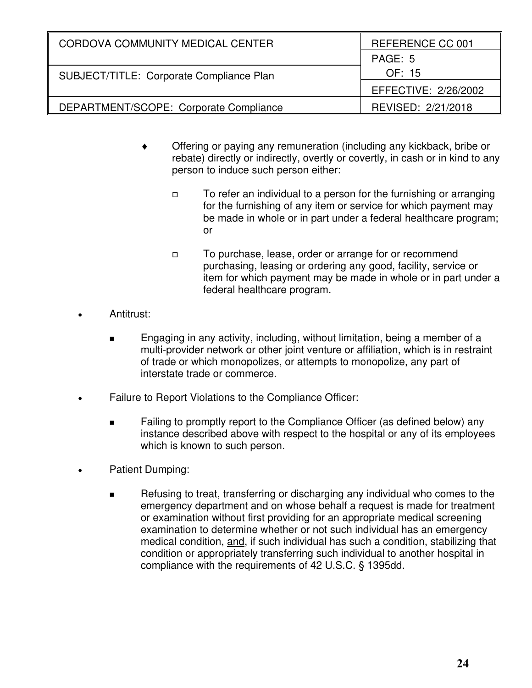| CORDOVA COMMUNITY MEDICAL CENTER         | REFERENCE CC 001     |
|------------------------------------------|----------------------|
|                                          | PAGE: 5              |
| SUBJECT/TITLE: Corporate Compliance Plan | OF: 15               |
|                                          | EFFECTIVE: 2/26/2002 |
| DEPARTMENT/SCOPE: Corporate Compliance   | REVISED: 2/21/2018   |

- Offering or paying any remuneration (including any kickback, bribe or rebate) directly or indirectly, overtly or covertly, in cash or in kind to any person to induce such person either:
	- $\Box$  To refer an individual to a person for the furnishing or arranging for the furnishing of any item or service for which payment may be made in whole or in part under a federal healthcare program; or
	- $\Box$  To purchase, lease, order or arrange for or recommend purchasing, leasing or ordering any good, facility, service or item for which payment may be made in whole or in part under a federal healthcare program.
- Antitrust:
	- Engaging in any activity, including, without limitation, being a member of a multi-provider network or other joint venture or affiliation, which is in restraint of trade or which monopolizes, or attempts to monopolize, any part of interstate trade or commerce.
- Failure to Report Violations to the Compliance Officer:
	- **EXECT** Failing to promptly report to the Compliance Officer (as defined below) any instance described above with respect to the hospital or any of its employees which is known to such person.
- Patient Dumping:
	- Refusing to treat, transferring or discharging any individual who comes to the emergency department and on whose behalf a request is made for treatment or examination without first providing for an appropriate medical screening examination to determine whether or not such individual has an emergency medical condition, and, if such individual has such a condition, stabilizing that condition or appropriately transferring such individual to another hospital in compliance with the requirements of 42 U.S.C. § 1395dd.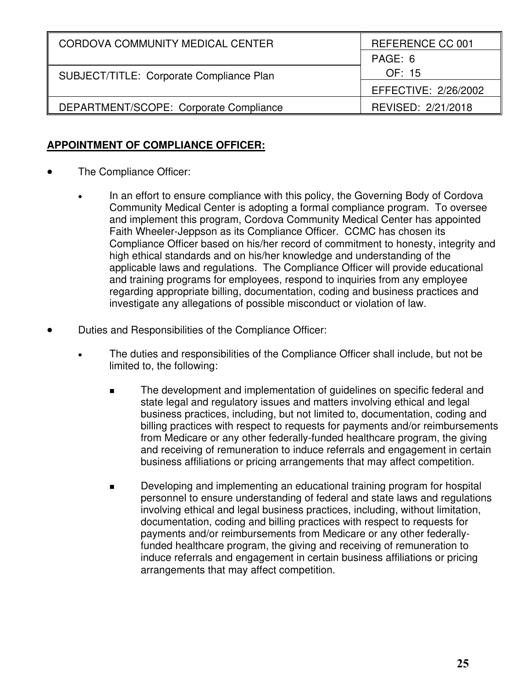| CORDOVA COMMUNITY MEDICAL CENTER         | REFERENCE CC 001     |
|------------------------------------------|----------------------|
|                                          | PAGE: 6              |
| SUBJECT/TITLE: Corporate Compliance Plan | OF: 15               |
|                                          | EFFECTIVE: 2/26/2002 |
| DEPARTMENT/SCOPE: Corporate Compliance   | REVISED: 2/21/2018   |

#### **APPOINTMENT OF COMPLIANCE OFFICER:**

- The Compliance Officer:
	- In an effort to ensure compliance with this policy, the Governing Body of Cordova Community Medical Center is adopting a formal compliance program. To oversee and implement this program, Cordova Community Medical Center has appointed Faith Wheeler-Jeppson as its Compliance Officer. CCMC has chosen its Compliance Officer based on his/her record of commitment to honesty, integrity and high ethical standards and on his/her knowledge and understanding of the applicable laws and regulations. The Compliance Officer will provide educational and training programs for employees, respond to inquiries from any employee regarding appropriate billing, documentation, coding and business practices and investigate any allegations of possible misconduct or violation of law.
- Duties and Responsibilities of the Compliance Officer:
	- The duties and responsibilities of the Compliance Officer shall include, but not be limited to, the following:
		- **The development and implementation of quidelines on specific federal and** state legal and regulatory issues and matters involving ethical and legal business practices, including, but not limited to, documentation, coding and billing practices with respect to requests for payments and/or reimbursements from Medicare or any other federally-funded healthcare program, the giving and receiving of remuneration to induce referrals and engagement in certain business affiliations or pricing arrangements that may affect competition.
		- Developing and implementing an educational training program for hospital personnel to ensure understanding of federal and state laws and regulations involving ethical and legal business practices, including, without limitation, documentation, coding and billing practices with respect to requests for payments and/or reimbursements from Medicare or any other federallyfunded healthcare program, the giving and receiving of remuneration to induce referrals and engagement in certain business affiliations or pricing arrangements that may affect competition.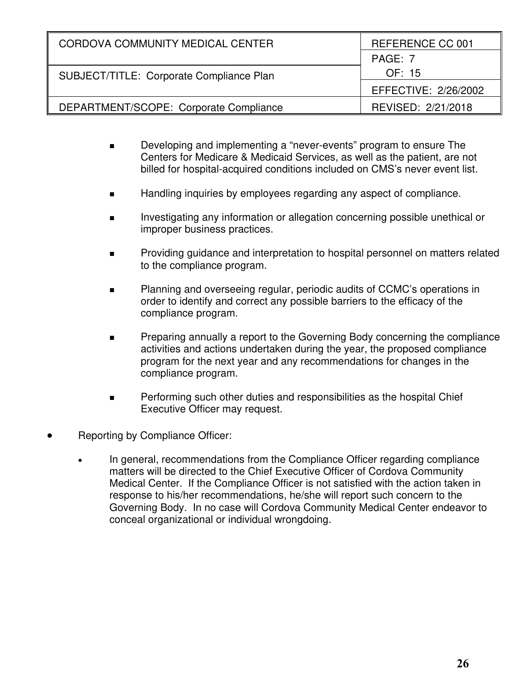| CORDOVA COMMUNITY MEDICAL CENTER         | REFERENCE CC 001     |
|------------------------------------------|----------------------|
|                                          | PAGE: 7              |
| SUBJECT/TITLE: Corporate Compliance Plan | OF: 15               |
|                                          | EFFECTIVE: 2/26/2002 |
| DEPARTMENT/SCOPE: Corporate Compliance   | REVISED: 2/21/2018   |

- **Developing and implementing a "never-events" program to ensure The** Centers for Medicare & Medicaid Services, as well as the patient, are not billed for hospital-acquired conditions included on CMS's never event list.
- Handling inquiries by employees regarding any aspect of compliance.
- Investigating any information or allegation concerning possible unethical or improper business practices.
- Providing guidance and interpretation to hospital personnel on matters related to the compliance program.
- **Planning and overseeing regular, periodic audits of CCMC's operations in** order to identify and correct any possible barriers to the efficacy of the compliance program.
- Preparing annually a report to the Governing Body concerning the compliance activities and actions undertaken during the year, the proposed compliance program for the next year and any recommendations for changes in the compliance program.
- Performing such other duties and responsibilities as the hospital Chief Executive Officer may request.
- Reporting by Compliance Officer:
	- In general, recommendations from the Compliance Officer regarding compliance matters will be directed to the Chief Executive Officer of Cordova Community Medical Center. If the Compliance Officer is not satisfied with the action taken in response to his/her recommendations, he/she will report such concern to the Governing Body. In no case will Cordova Community Medical Center endeavor to conceal organizational or individual wrongdoing.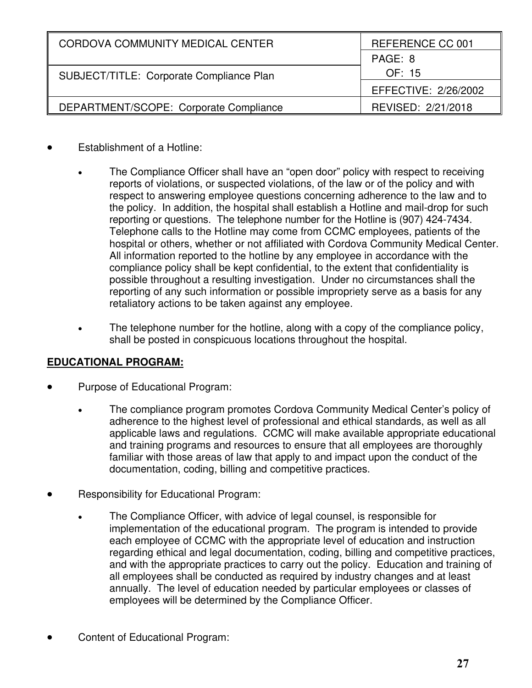| CORDOVA COMMUNITY MEDICAL CENTER         | REFERENCE CC 001     |  |
|------------------------------------------|----------------------|--|
|                                          | PAGE: 8              |  |
| SUBJECT/TITLE: Corporate Compliance Plan | OF: 15               |  |
|                                          | EFFECTIVE: 2/26/2002 |  |
| DEPARTMENT/SCOPE: Corporate Compliance   | REVISED: 2/21/2018   |  |

- Establishment of a Hotline:
	- The Compliance Officer shall have an "open door" policy with respect to receiving reports of violations, or suspected violations, of the law or of the policy and with respect to answering employee questions concerning adherence to the law and to the policy. In addition, the hospital shall establish a Hotline and mail-drop for such reporting or questions. The telephone number for the Hotline is (907) 424-7434. Telephone calls to the Hotline may come from CCMC employees, patients of the hospital or others, whether or not affiliated with Cordova Community Medical Center. All information reported to the hotline by any employee in accordance with the compliance policy shall be kept confidential, to the extent that confidentiality is possible throughout a resulting investigation. Under no circumstances shall the reporting of any such information or possible impropriety serve as a basis for any retaliatory actions to be taken against any employee.
	- The telephone number for the hotline, along with a copy of the compliance policy, shall be posted in conspicuous locations throughout the hospital.

### **EDUCATIONAL PROGRAM:**

- Purpose of Educational Program:
	- The compliance program promotes Cordova Community Medical Center's policy of adherence to the highest level of professional and ethical standards, as well as all applicable laws and regulations. CCMC will make available appropriate educational and training programs and resources to ensure that all employees are thoroughly familiar with those areas of law that apply to and impact upon the conduct of the documentation, coding, billing and competitive practices.
- Responsibility for Educational Program:
	- The Compliance Officer, with advice of legal counsel, is responsible for implementation of the educational program. The program is intended to provide each employee of CCMC with the appropriate level of education and instruction regarding ethical and legal documentation, coding, billing and competitive practices, and with the appropriate practices to carry out the policy. Education and training of all employees shall be conducted as required by industry changes and at least annually. The level of education needed by particular employees or classes of employees will be determined by the Compliance Officer.
- Content of Educational Program: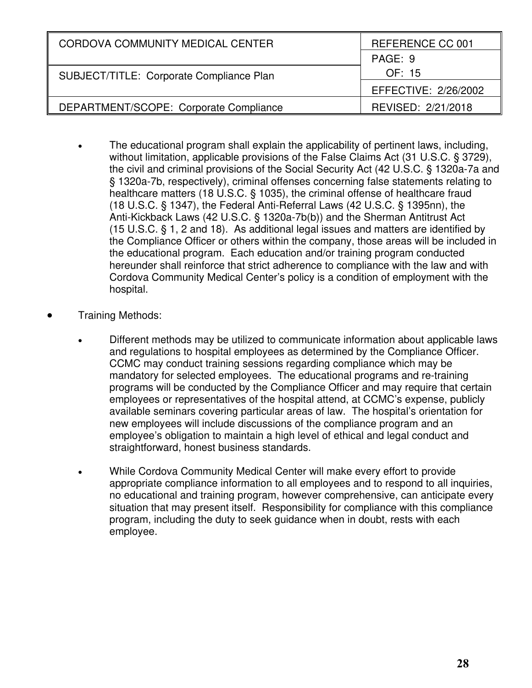| CORDOVA COMMUNITY MEDICAL CENTER         | REFERENCE CC 001     |  |
|------------------------------------------|----------------------|--|
|                                          | PAGE: 9              |  |
| SUBJECT/TITLE: Corporate Compliance Plan | OF: 15               |  |
|                                          | EFFECTIVE: 2/26/2002 |  |
| DEPARTMENT/SCOPE: Corporate Compliance   | REVISED: 2/21/2018   |  |

- The educational program shall explain the applicability of pertinent laws, including, without limitation, applicable provisions of the False Claims Act (31 U.S.C. § 3729), the civil and criminal provisions of the Social Security Act (42 U.S.C. § 1320a-7a and § 1320a-7b, respectively), criminal offenses concerning false statements relating to healthcare matters (18 U.S.C. § 1035), the criminal offense of healthcare fraud (18 U.S.C. § 1347), the Federal Anti-Referral Laws (42 U.S.C. § 1395nn), the Anti-Kickback Laws (42 U.S.C. § 1320a-7b(b)) and the Sherman Antitrust Act (15 U.S.C. § 1, 2 and 18). As additional legal issues and matters are identified by the Compliance Officer or others within the company, those areas will be included in the educational program. Each education and/or training program conducted hereunder shall reinforce that strict adherence to compliance with the law and with Cordova Community Medical Center's policy is a condition of employment with the hospital.
- Training Methods:
	- Different methods may be utilized to communicate information about applicable laws and regulations to hospital employees as determined by the Compliance Officer. CCMC may conduct training sessions regarding compliance which may be mandatory for selected employees. The educational programs and re-training programs will be conducted by the Compliance Officer and may require that certain employees or representatives of the hospital attend, at CCMC's expense, publicly available seminars covering particular areas of law. The hospital's orientation for new employees will include discussions of the compliance program and an employee's obligation to maintain a high level of ethical and legal conduct and straightforward, honest business standards.
	- While Cordova Community Medical Center will make every effort to provide appropriate compliance information to all employees and to respond to all inquiries, no educational and training program, however comprehensive, can anticipate every situation that may present itself. Responsibility for compliance with this compliance program, including the duty to seek guidance when in doubt, rests with each employee.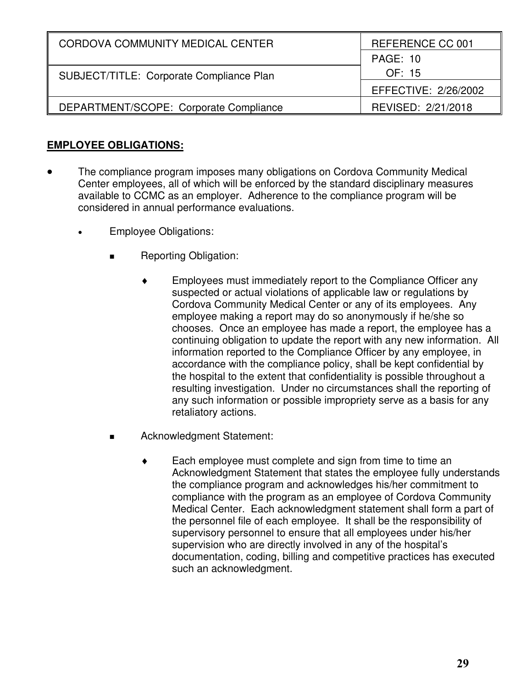| CORDOVA COMMUNITY MEDICAL CENTER         | REFERENCE CC 001     |
|------------------------------------------|----------------------|
|                                          | <b>PAGE: 10</b>      |
| SUBJECT/TITLE: Corporate Compliance Plan | OF: 15               |
|                                          | EFFECTIVE: 2/26/2002 |
| DEPARTMENT/SCOPE: Corporate Compliance   | REVISED: 2/21/2018   |

#### **EMPLOYEE OBLIGATIONS:**

- The compliance program imposes many obligations on Cordova Community Medical Center employees, all of which will be enforced by the standard disciplinary measures available to CCMC as an employer. Adherence to the compliance program will be considered in annual performance evaluations.
	- Employee Obligations:
		- Reporting Obligation:
			- Employees must immediately report to the Compliance Officer any suspected or actual violations of applicable law or regulations by Cordova Community Medical Center or any of its employees. Any employee making a report may do so anonymously if he/she so chooses. Once an employee has made a report, the employee has a continuing obligation to update the report with any new information. All information reported to the Compliance Officer by any employee, in accordance with the compliance policy, shall be kept confidential by the hospital to the extent that confidentiality is possible throughout a resulting investigation. Under no circumstances shall the reporting of any such information or possible impropriety serve as a basis for any retaliatory actions.
		- Acknowledgment Statement:
			- Each employee must complete and sign from time to time an Acknowledgment Statement that states the employee fully understands the compliance program and acknowledges his/her commitment to compliance with the program as an employee of Cordova Community Medical Center. Each acknowledgment statement shall form a part of the personnel file of each employee. It shall be the responsibility of supervisory personnel to ensure that all employees under his/her supervision who are directly involved in any of the hospital's documentation, coding, billing and competitive practices has executed such an acknowledgment.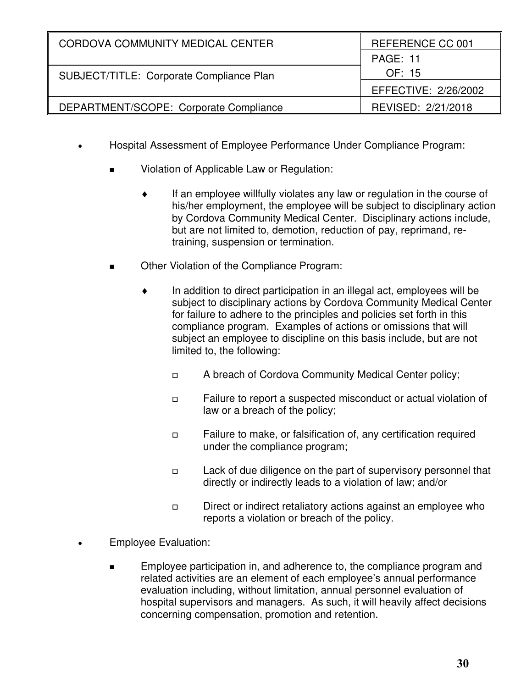| CORDOVA COMMUNITY MEDICAL CENTER         | REFERENCE CC 001     |
|------------------------------------------|----------------------|
|                                          | <b>PAGE: 11</b>      |
| SUBJECT/TITLE: Corporate Compliance Plan | OF: 15               |
|                                          | EFFECTIVE: 2/26/2002 |
| DEPARTMENT/SCOPE: Corporate Compliance   | REVISED: 2/21/2018   |

- Hospital Assessment of Employee Performance Under Compliance Program:
	- Violation of Applicable Law or Regulation:
		- If an employee willfully violates any law or regulation in the course of his/her employment, the employee will be subject to disciplinary action by Cordova Community Medical Center. Disciplinary actions include, but are not limited to, demotion, reduction of pay, reprimand, retraining, suspension or termination.
	- Other Violation of the Compliance Program:
		- In addition to direct participation in an illegal act, employees will be subject to disciplinary actions by Cordova Community Medical Center for failure to adhere to the principles and policies set forth in this compliance program. Examples of actions or omissions that will subject an employee to discipline on this basis include, but are not limited to, the following:
			- A breach of Cordova Community Medical Center policy;
			- Failure to report a suspected misconduct or actual violation of law or a breach of the policy;
			- $\Box$  Failure to make, or falsification of, any certification required under the compliance program;
			- $\Box$  Lack of due diligence on the part of supervisory personnel that directly or indirectly leads to a violation of law; and/or
			- Direct or indirect retaliatory actions against an employee who reports a violation or breach of the policy.
- Employee Evaluation:
	- Employee participation in, and adherence to, the compliance program and related activities are an element of each employee's annual performance evaluation including, without limitation, annual personnel evaluation of hospital supervisors and managers. As such, it will heavily affect decisions concerning compensation, promotion and retention.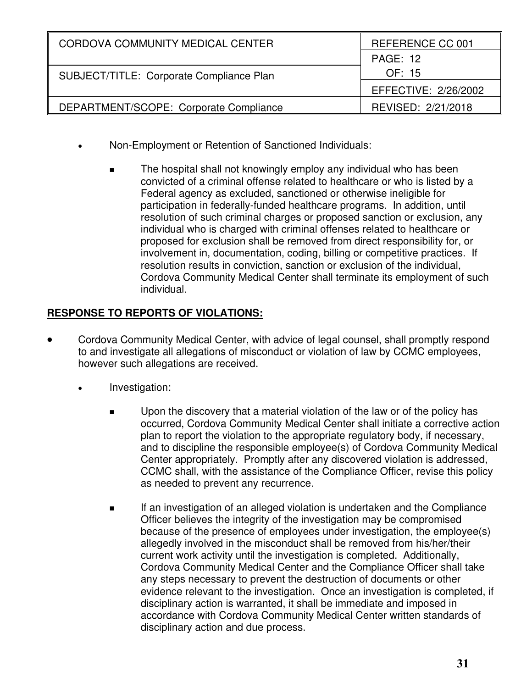| CORDOVA COMMUNITY MEDICAL CENTER         | REFERENCE CC 001     |  |
|------------------------------------------|----------------------|--|
|                                          | <b>PAGE: 12</b>      |  |
| SUBJECT/TITLE: Corporate Compliance Plan | OF: 15               |  |
|                                          | EFFECTIVE: 2/26/2002 |  |
| DEPARTMENT/SCOPE: Corporate Compliance   | REVISED: 2/21/2018   |  |

- Non-Employment or Retention of Sanctioned Individuals:
	- The hospital shall not knowingly employ any individual who has been convicted of a criminal offense related to healthcare or who is listed by a Federal agency as excluded, sanctioned or otherwise ineligible for participation in federally-funded healthcare programs. In addition, until resolution of such criminal charges or proposed sanction or exclusion, any individual who is charged with criminal offenses related to healthcare or proposed for exclusion shall be removed from direct responsibility for, or involvement in, documentation, coding, billing or competitive practices. If resolution results in conviction, sanction or exclusion of the individual, Cordova Community Medical Center shall terminate its employment of such individual.

#### **RESPONSE TO REPORTS OF VIOLATIONS:**

- Cordova Community Medical Center, with advice of legal counsel, shall promptly respond to and investigate all allegations of misconduct or violation of law by CCMC employees, however such allegations are received.
	- Investigation:
		- **Upon the discovery that a material violation of the law or of the policy has** occurred, Cordova Community Medical Center shall initiate a corrective action plan to report the violation to the appropriate regulatory body, if necessary, and to discipline the responsible employee(s) of Cordova Community Medical Center appropriately. Promptly after any discovered violation is addressed, CCMC shall, with the assistance of the Compliance Officer, revise this policy as needed to prevent any recurrence.
		- **If an investigation of an alleged violation is undertaken and the Compliance** Officer believes the integrity of the investigation may be compromised because of the presence of employees under investigation, the employee(s) allegedly involved in the misconduct shall be removed from his/her/their current work activity until the investigation is completed. Additionally, Cordova Community Medical Center and the Compliance Officer shall take any steps necessary to prevent the destruction of documents or other evidence relevant to the investigation. Once an investigation is completed, if disciplinary action is warranted, it shall be immediate and imposed in accordance with Cordova Community Medical Center written standards of disciplinary action and due process.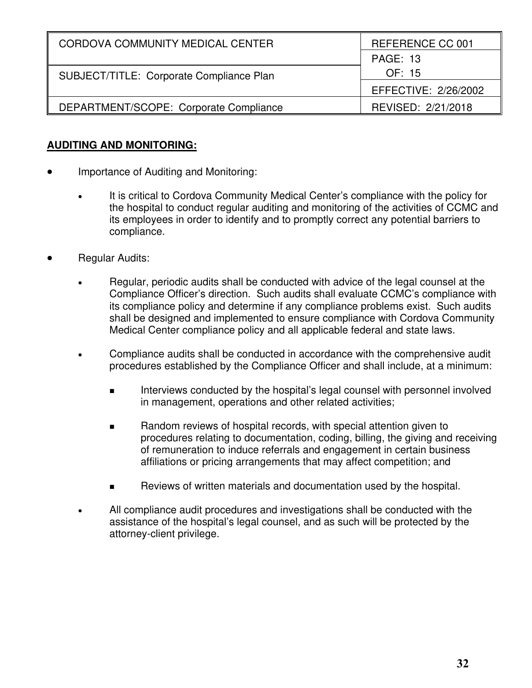| CORDOVA COMMUNITY MEDICAL CENTER         | REFERENCE CC 001     |
|------------------------------------------|----------------------|
|                                          | <b>PAGE: 13</b>      |
| SUBJECT/TITLE: Corporate Compliance Plan | OF: 15               |
|                                          | EFFECTIVE: 2/26/2002 |
| DEPARTMENT/SCOPE: Corporate Compliance   | REVISED: 2/21/2018   |

#### **AUDITING AND MONITORING:**

- Importance of Auditing and Monitoring:
	- It is critical to Cordova Community Medical Center's compliance with the policy for the hospital to conduct regular auditing and monitoring of the activities of CCMC and its employees in order to identify and to promptly correct any potential barriers to compliance.
- Regular Audits:
	- Regular, periodic audits shall be conducted with advice of the legal counsel at the Compliance Officer's direction. Such audits shall evaluate CCMC's compliance with its compliance policy and determine if any compliance problems exist. Such audits shall be designed and implemented to ensure compliance with Cordova Community Medical Center compliance policy and all applicable federal and state laws.
	- Compliance audits shall be conducted in accordance with the comprehensive audit procedures established by the Compliance Officer and shall include, at a minimum:
		- **IFFELD** Interviews conducted by the hospital's legal counsel with personnel involved in management, operations and other related activities;
		- Random reviews of hospital records, with special attention given to procedures relating to documentation, coding, billing, the giving and receiving of remuneration to induce referrals and engagement in certain business affiliations or pricing arrangements that may affect competition; and
		- Reviews of written materials and documentation used by the hospital.
	- All compliance audit procedures and investigations shall be conducted with the assistance of the hospital's legal counsel, and as such will be protected by the attorney-client privilege.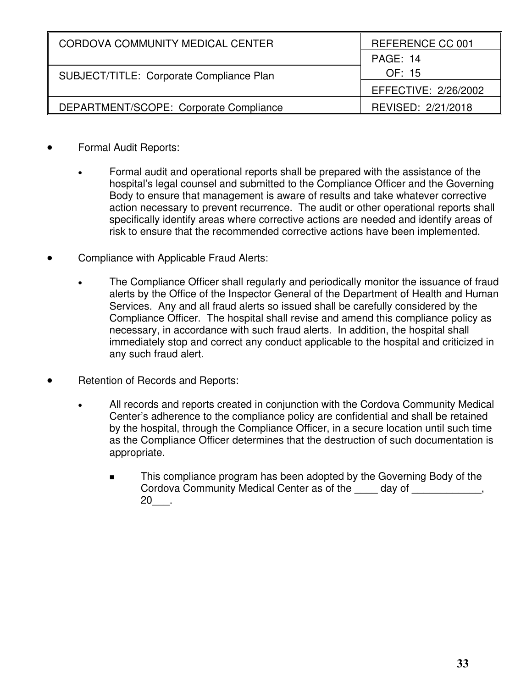| CORDOVA COMMUNITY MEDICAL CENTER         | REFERENCE CC 001     |
|------------------------------------------|----------------------|
|                                          | PAGE: 14             |
| SUBJECT/TITLE: Corporate Compliance Plan | OF: 15               |
|                                          | EFFECTIVE: 2/26/2002 |
| DEPARTMENT/SCOPE: Corporate Compliance   | REVISED: 2/21/2018   |

- Formal Audit Reports:
	- Formal audit and operational reports shall be prepared with the assistance of the hospital's legal counsel and submitted to the Compliance Officer and the Governing Body to ensure that management is aware of results and take whatever corrective action necessary to prevent recurrence. The audit or other operational reports shall specifically identify areas where corrective actions are needed and identify areas of risk to ensure that the recommended corrective actions have been implemented.
- Compliance with Applicable Fraud Alerts:
	- The Compliance Officer shall regularly and periodically monitor the issuance of fraud alerts by the Office of the Inspector General of the Department of Health and Human Services. Any and all fraud alerts so issued shall be carefully considered by the Compliance Officer. The hospital shall revise and amend this compliance policy as necessary, in accordance with such fraud alerts. In addition, the hospital shall immediately stop and correct any conduct applicable to the hospital and criticized in any such fraud alert.
- Retention of Records and Reports:
	- All records and reports created in conjunction with the Cordova Community Medical Center's adherence to the compliance policy are confidential and shall be retained by the hospital, through the Compliance Officer, in a secure location until such time as the Compliance Officer determines that the destruction of such documentation is appropriate.
		- This compliance program has been adopted by the Governing Body of the Cordova Community Medical Center as of the \_\_\_\_ day of \_\_\_\_\_\_\_\_\_\_\_\_, 20\_\_\_.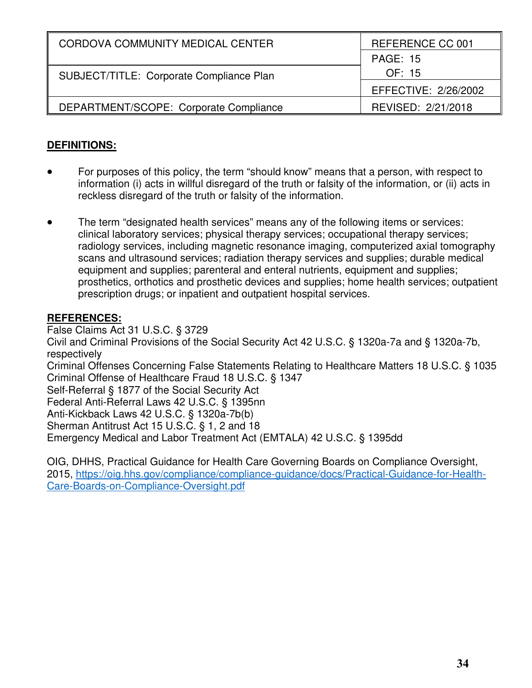| CORDOVA COMMUNITY MEDICAL CENTER         | REFERENCE CC 001     |
|------------------------------------------|----------------------|
|                                          | <b>PAGE: 15</b>      |
| SUBJECT/TITLE: Corporate Compliance Plan | OF: 15               |
|                                          | EFFECTIVE: 2/26/2002 |
| DEPARTMENT/SCOPE: Corporate Compliance   | REVISED: 2/21/2018   |

### **DEFINITIONS:**

- For purposes of this policy, the term "should know" means that a person, with respect to information (i) acts in willful disregard of the truth or falsity of the information, or (ii) acts in reckless disregard of the truth or falsity of the information.
- The term "designated health services" means any of the following items or services: clinical laboratory services; physical therapy services; occupational therapy services; radiology services, including magnetic resonance imaging, computerized axial tomography scans and ultrasound services; radiation therapy services and supplies; durable medical equipment and supplies; parenteral and enteral nutrients, equipment and supplies; prosthetics, orthotics and prosthetic devices and supplies; home health services; outpatient prescription drugs; or inpatient and outpatient hospital services.

#### **REFERENCES:**

False Claims Act 31 U.S.C. § 3729 Civil and Criminal Provisions of the Social Security Act 42 U.S.C. § 1320a-7a and § 1320a-7b, respectively Criminal Offenses Concerning False Statements Relating to Healthcare Matters 18 U.S.C. § 1035 Criminal Offense of Healthcare Fraud 18 U.S.C. § 1347 Self-Referral § 1877 of the Social Security Act Federal Anti-Referral Laws 42 U.S.C. § 1395nn Anti-Kickback Laws 42 U.S.C. § 1320a-7b(b) Sherman Antitrust Act 15 U.S.C. § 1, 2 and 18 Emergency Medical and Labor Treatment Act (EMTALA) 42 U.S.C. § 1395dd

OIG, DHHS, Practical Guidance for Health Care Governing Boards on Compliance Oversight, 2015, https://oig.hhs.gov/compliance/compliance-guidance/docs/Practical-Guidance-for-Health-Care-Boards-on-Compliance-Oversight.pdf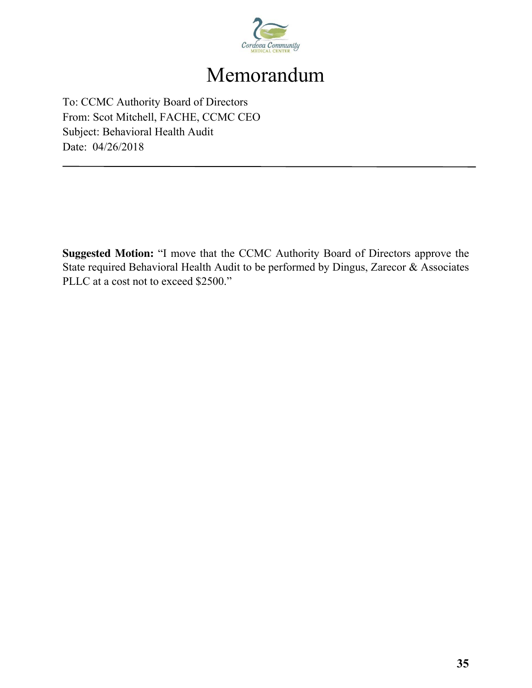

## Memorandum

To: CCMC Authority Board of Directors From: Scot Mitchell, FACHE, CCMC CEO Subject: Behavioral Health Audit Date: 04/26/2018

**Suggested Motion:** "I move that the CCMC Authority Board of Directors approve the State required Behavioral Health Audit to be performed by Dingus, Zarecor & Associates PLLC at a cost not to exceed \$2500."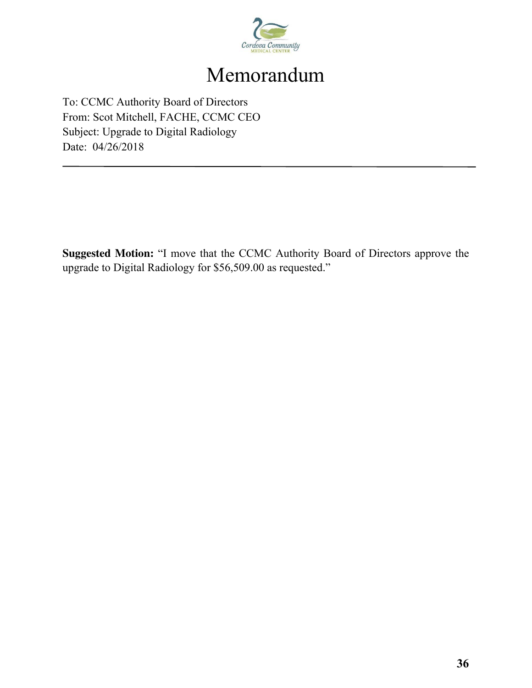

## Memorandum

To: CCMC Authority Board of Directors From: Scot Mitchell, FACHE, CCMC CEO Subject: Upgrade to Digital Radiology Date: 04/26/2018

**Suggested Motion:** "I move that the CCMC Authority Board of Directors approve the upgrade to Digital Radiology for \$56,509.00 as requested."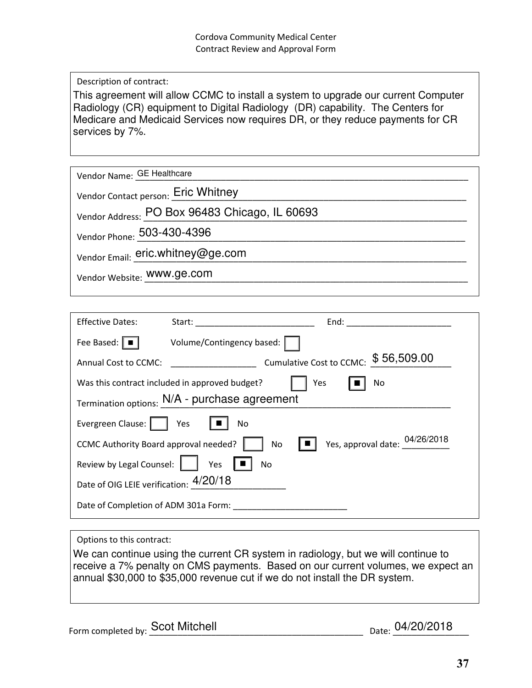Description of contract:

This agreement will allow CCMC to install a system to upgrade our current Computer Radiology (CR) equipment to Digital Radiology (DR) capability. The Centers for Medicare and Medicaid Services now requires DR, or they reduce payments for CR services by 7%.

| Vendor Name: GE Healthcare                     |
|------------------------------------------------|
| Vendor Contact person: Eric Whitney            |
| Vendor Address: PO Box 96483 Chicago, IL 60693 |
| Vendor Phone: 503-430-4396                     |
| Vendor Email: eric.whitney@ge.com              |
| Vendor Website: WWW.ge.com                     |
|                                                |

| <b>Effective Dates:</b>                                     | Start: <u>_______________________</u> | End:<br>the control of the control of the control of |  |
|-------------------------------------------------------------|---------------------------------------|------------------------------------------------------|--|
| Fee Based: $\parallel \blacksquare$                         | Volume/Contingency based:             |                                                      |  |
| Annual Cost to CCMC:                                        |                                       | Cumulative Cost to CCMC: \$56,509.00                 |  |
| Was this contract included in approved budget?<br>Yes<br>No |                                       |                                                      |  |
| Termination options: N/A - purchase agreement               |                                       |                                                      |  |
| Evergreen Clause:     Yes                                   | No.                                   |                                                      |  |
| CCMC Authority Board approval needed?                       | No                                    | Yes, approval date: 04/26/2018                       |  |
| Review by Legal Counsel:                                    | Yes<br>No                             |                                                      |  |
| Date of OIG LEIE verification: 4/20/18                      |                                       |                                                      |  |
| Date of Completion of ADM 301a Form:                        |                                       |                                                      |  |

#### Options to this contract:

We can continue using the current CR system in radiology, but we will continue to receive a 7% penalty on CMS payments. Based on our current volumes, we expect an annual \$30,000 to \$35,000 revenue cut if we do not install the DR system.

Form completed by:  $\frac{S}{S}$ COt Mitchell

Date: 04/20/2018